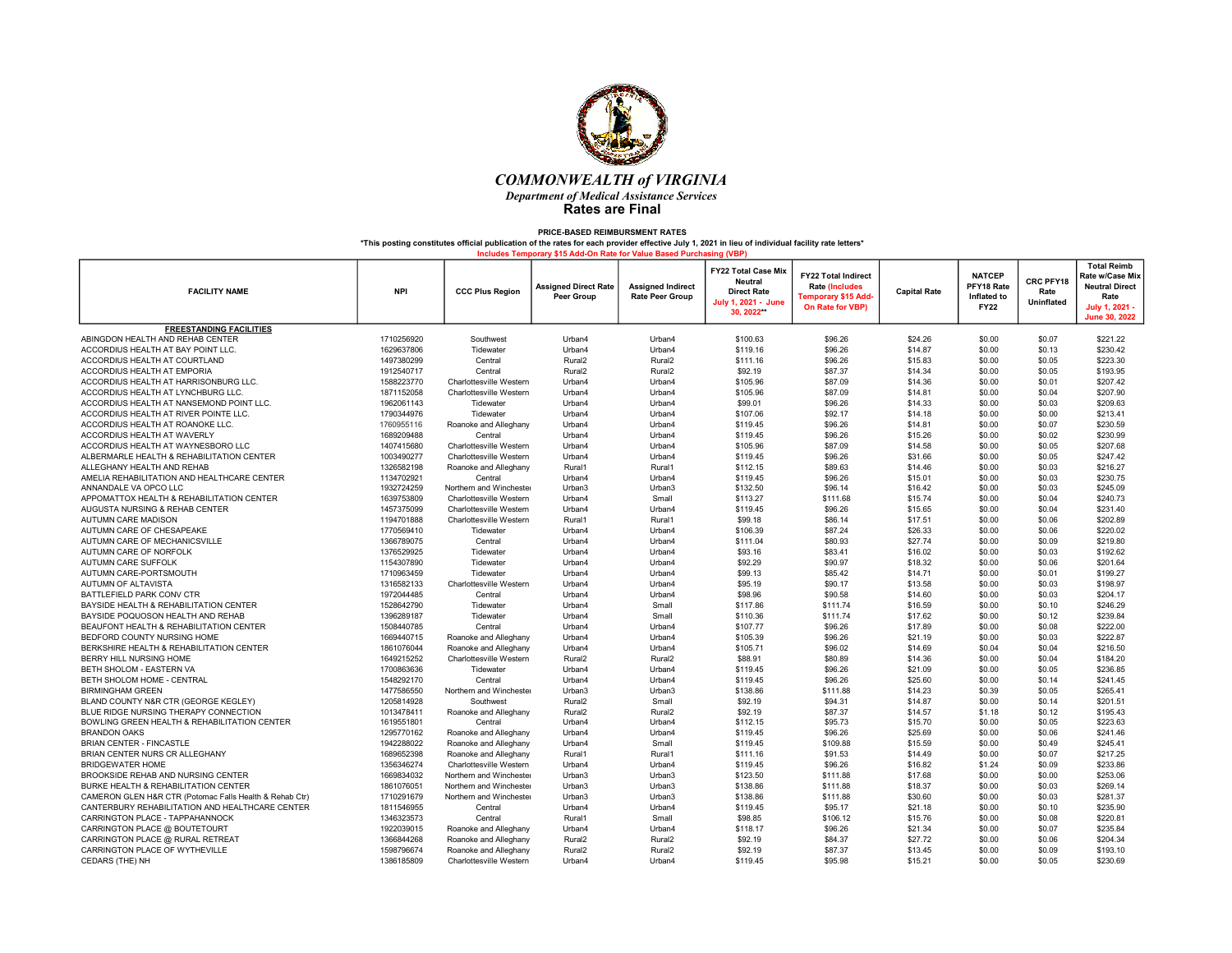

| <b>FACILITY NAME</b>                                    | <b>NPI</b> | <b>CCC Plus Region</b>  | <b>Assigned Direct Rate</b><br>Peer Group | <b>Assigned Indirect</b><br><b>Rate Peer Group</b> | <b>FY22 Total Case Mix</b><br><b>Neutral</b><br><b>Direct Rate</b><br>July 1, 2021 - June<br>30.2022** | <b>FY22 Total Indirect</b><br><b>Rate (Includes</b><br>Temporary \$15 Add <sub>'</sub><br>On Rate for VBP) | <b>Capital Rate</b> | <b>NATCEP</b><br>PFY18 Rate<br>Inflated to<br><b>FY22</b> | CRC PFY18<br>Rate<br><b>Uninflated</b> | <b>Total Reimb</b><br>Rate w/Case Mix<br><b>Neutral Direct</b><br>Rate<br>July 1, 2021 -<br>June 30, 2022 |
|---------------------------------------------------------|------------|-------------------------|-------------------------------------------|----------------------------------------------------|--------------------------------------------------------------------------------------------------------|------------------------------------------------------------------------------------------------------------|---------------------|-----------------------------------------------------------|----------------------------------------|-----------------------------------------------------------------------------------------------------------|
| <b>FREESTANDING FACILITIES</b>                          |            |                         |                                           |                                                    |                                                                                                        |                                                                                                            |                     |                                                           |                                        |                                                                                                           |
| ABINGDON HEALTH AND REHAB CENTER                        | 1710256920 | Southwest               | Urban4                                    | Urban4                                             | \$100.63                                                                                               | \$96.26                                                                                                    | \$24.26             | \$0.00                                                    | \$0.07                                 | \$221.22                                                                                                  |
| ACCORDIUS HEALTH AT BAY POINT LLC.                      | 1629637806 | Tidewater               | Urban4                                    | Urban4                                             | \$119.16                                                                                               | \$96.26                                                                                                    | \$14.87             | \$0.00                                                    | \$0.13                                 | \$230.42                                                                                                  |
| ACCORDIUS HEALTH AT COURTLAND                           | 1497380299 | Central                 | Rural <sub>2</sub>                        | Rural <sub>2</sub>                                 | \$111.16                                                                                               | \$96.26                                                                                                    | \$15.83             | \$0.00                                                    | \$0.05                                 | \$223.30                                                                                                  |
| ACCORDIUS HEALTH AT EMPORIA                             | 1912540717 | Central                 | Rural <sub>2</sub>                        | Rural <sub>2</sub>                                 | \$92.19                                                                                                | \$87.37                                                                                                    | \$14.34             | \$0.00                                                    | \$0.05                                 | \$193.95                                                                                                  |
| ACCORDIUS HEALTH AT HARRISONBURG LLC.                   | 1588223770 | Charlottesville Western | Urban4                                    | Urban4                                             | \$105.96                                                                                               | \$87.09                                                                                                    | \$14.36             | \$0.00                                                    | \$0.01                                 | \$207.42                                                                                                  |
| ACCORDIUS HEALTH AT LYNCHBURG LLC.                      | 1871152058 | Charlottesville Western | Urban4                                    | Urban4                                             | \$105.96                                                                                               | \$87.09                                                                                                    | \$14.81             | \$0.00                                                    | \$0.04                                 | \$207.90                                                                                                  |
| ACCORDIUS HEALTH AT NANSEMOND POINT LLC.                | 1962061143 | Tidewater               | Urban4                                    | Urban4                                             | \$99.01                                                                                                | \$96.26                                                                                                    | \$14.33             | \$0.00                                                    | \$0.03                                 | \$209.63                                                                                                  |
| ACCORDIUS HEALTH AT RIVER POINTE LLC.                   | 1790344976 | Tidewater               | Urban4                                    | Urban4                                             | \$107.06                                                                                               | \$92.17                                                                                                    | \$14.18             | \$0.00                                                    | \$0.00                                 | \$213.41                                                                                                  |
| ACCORDIUS HEALTH AT ROANOKE LLC.                        | 1760955116 | Roanoke and Alleghany   | Urban4                                    | Urban4                                             | \$119.45                                                                                               | \$96.26                                                                                                    | \$14.81             | \$0.00                                                    | \$0.07                                 | \$230.59                                                                                                  |
| ACCORDIUS HEALTH AT WAVERLY                             | 1689209488 | Central                 | Urban4                                    | Urban4                                             | \$119.45                                                                                               | \$96.26                                                                                                    | \$15.26             | \$0.00                                                    | \$0.02                                 | \$230.99                                                                                                  |
| ACCORDIUS HEALTH AT WAYNESBORO LLC                      | 1407415680 | Charlottesville Western | Urban4                                    | Urban4                                             | \$105.96                                                                                               | \$87.09                                                                                                    | \$14.58             | \$0.00                                                    | \$0.05                                 | \$207.68                                                                                                  |
| ALBERMARLE HEALTH & REHABILITATION CENTER               | 1003490277 | Charlottesville Western | Urban4                                    | Urban4                                             | \$119.45                                                                                               | \$96.26                                                                                                    | \$31.66             | \$0.00                                                    | \$0.05                                 | \$247.42                                                                                                  |
| ALLEGHANY HEALTH AND REHAB                              | 1326582198 | Roanoke and Alleghany   | Rural1                                    | Rural1                                             | \$112.15                                                                                               | \$89.63                                                                                                    | \$14.46             | \$0.00                                                    | \$0.03                                 | \$216.27                                                                                                  |
| AMELIA REHABILITATION AND HEALTHCARE CENTER             | 1134702921 | Central                 | Urban4                                    | Urban4                                             | \$119.45                                                                                               | \$96.26                                                                                                    | \$15.01             | \$0.00                                                    | \$0.03                                 | \$230.75                                                                                                  |
| ANNANDALE VA OPCO LLC                                   | 1932724259 | Northern and Winchester | Urban3                                    | Urban3                                             | \$132.50                                                                                               | \$96.14                                                                                                    | \$16.42             | \$0.00                                                    | \$0.03                                 | \$245.09                                                                                                  |
| APPOMATTOX HEALTH & REHABILITATION CENTER               | 1639753809 | Charlottesville Western | Urban4                                    | Small                                              | \$113.27                                                                                               | \$111.68                                                                                                   | \$15.74             | \$0.00                                                    | \$0.04                                 | \$240.73                                                                                                  |
| AUGUSTA NURSING & REHAB CENTER                          | 1457375099 | Charlottesville Western | Urban4                                    | Urban4                                             | \$119.45                                                                                               | \$96.26                                                                                                    | \$15.65             | \$0.00                                                    | \$0.04                                 | \$231.40                                                                                                  |
| AUTUMN CARE MADISON                                     | 1194701888 | Charlottesville Western | Rural1                                    | Rural1                                             | \$99.18                                                                                                | \$86.14                                                                                                    | \$17.51             | \$0.00                                                    | \$0.06                                 | \$202.89                                                                                                  |
| AUTUMN CARE OF CHESAPEAKE                               | 1770569410 | Tidewater               | Urban4                                    | Urban4                                             | \$106.39                                                                                               | \$87.24                                                                                                    | \$26.33             | \$0.00                                                    | \$0.06                                 | \$220.02                                                                                                  |
| AUTUMN CARE OF MECHANICSVILLE                           | 1366789075 | Central                 | Urban4                                    | Urban4                                             | \$111.04                                                                                               | \$80.93                                                                                                    | \$27.74             | \$0.00                                                    | \$0.09                                 | \$219.80                                                                                                  |
| AUTUMN CARE OF NORFOLK                                  | 1376529925 | Tidewater               | Urban4                                    | Urban4                                             | \$93.16                                                                                                | \$83.41                                                                                                    | \$16.02             | \$0.00                                                    | \$0.03                                 | \$192.62                                                                                                  |
| AUTUMN CARE SUFFOLK                                     | 1154307890 | Tidewater               | Urban4                                    | Urban4                                             | \$92.29                                                                                                | \$90.97                                                                                                    | \$18.32             | \$0.00                                                    | \$0.06                                 | \$201.64                                                                                                  |
| AUTUMN CARE-PORTSMOUTH                                  | 1710963459 | Tidewater               | Urban4                                    | Urban4                                             | \$99.13                                                                                                | \$85.42                                                                                                    | \$14.71             | \$0.00                                                    | \$0.01                                 | \$199.27                                                                                                  |
| AUTUMN OF ALTAVISTA                                     | 1316582133 | Charlottesville Western | Urban4                                    | Urban4                                             | \$95.19                                                                                                | \$90.17                                                                                                    | \$13.58             | \$0.00                                                    | \$0.03                                 | \$198.97                                                                                                  |
| BATTLEFIELD PARK CONV CTR                               | 1972044485 | Central                 | Urban4                                    | Urban4                                             | \$98.96                                                                                                | \$90.58                                                                                                    | \$14.60             | \$0.00                                                    | \$0.03                                 | \$204.17                                                                                                  |
| BAYSIDE HEALTH & REHABILITATION CENTER                  | 1528642790 | Tidewater               | Urban4                                    | Small                                              | \$117.86                                                                                               | \$111.74                                                                                                   | \$16.59             | \$0.00                                                    | \$0.10                                 | \$246.29                                                                                                  |
| BAYSIDE POQUOSON HEALTH AND REHAB                       | 1396289187 | Tidewater               | Urban4                                    | Small                                              | \$110.36                                                                                               | \$111.74                                                                                                   | \$17.62             | \$0.00                                                    | \$0.12                                 | \$239.84                                                                                                  |
| BEAUFONT HEALTH & REHABILITATION CENTER                 | 1508440785 | Central                 | Urban4                                    | Urban4                                             | \$107.77                                                                                               | \$96.26                                                                                                    | \$17.89             | \$0.00                                                    | \$0.08                                 | \$222.00                                                                                                  |
| BEDFORD COUNTY NURSING HOME                             | 1669440715 | Roanoke and Alleghany   | Urban4                                    | Urban4                                             | \$105.39                                                                                               | \$96.26                                                                                                    | \$21.19             | \$0.00                                                    | \$0.03                                 | \$222.87                                                                                                  |
| BERKSHIRE HEALTH & REHABILITATION CENTER                | 1861076044 | Roanoke and Alleghany   | Urban4                                    | Urban4                                             | \$105.71                                                                                               | \$96.02                                                                                                    | \$14.69             | \$0.04                                                    | \$0.04                                 | \$216.50                                                                                                  |
| BERRY HILL NURSING HOME                                 | 1649215252 | Charlottesville Western | Rural <sub>2</sub>                        | Rural <sub>2</sub>                                 | \$88.91                                                                                                | \$80.89                                                                                                    | \$14.36             | \$0.00                                                    | \$0.04                                 | \$184.20                                                                                                  |
| BETH SHOLOM - EASTERN VA                                | 1700863636 | Tidewater               | Urban4                                    | Urban4                                             | \$119.45                                                                                               | \$96.26                                                                                                    | \$21.09             | \$0.00                                                    | \$0.05                                 | \$236.85                                                                                                  |
| BETH SHOLOM HOME - CENTRAL                              | 1548292170 | Central                 | Urban4                                    | Urban4                                             | \$119.45                                                                                               | \$96.26                                                                                                    | \$25.60             | \$0.00                                                    | \$0.14                                 | \$241.45                                                                                                  |
| <b>BIRMINGHAM GREEN</b>                                 | 1477586550 | Northern and Winchester | Urban3                                    | Urban3                                             | \$138.86                                                                                               | \$111.88                                                                                                   | \$14.23             | \$0.39                                                    | \$0.05                                 | \$265.41                                                                                                  |
| BLAND COUNTY N&R CTR (GEORGE KEGLEY)                    | 1205814928 | Southwest               | Rural <sub>2</sub>                        | Small                                              | \$92.19                                                                                                | \$94.31                                                                                                    | \$14.87             | \$0.00                                                    | \$0.14                                 | \$201.51                                                                                                  |
| BLUE RIDGE NURSING THERAPY CONNECTION                   | 1013478411 | Roanoke and Alleghany   | Rural <sub>2</sub>                        | Rural <sub>2</sub>                                 | \$92.19                                                                                                | \$87.37                                                                                                    | \$14.57             | \$1.18                                                    | \$0.12                                 | \$195.43                                                                                                  |
| BOWLING GREEN HEALTH & REHABILITATION CENTER            | 1619551801 | Central                 | Urban4                                    | Urban4                                             | \$112.15                                                                                               | \$95.73                                                                                                    | \$15.70             | \$0.00                                                    | \$0.05                                 | \$223.63                                                                                                  |
| <b>BRANDON OAKS</b>                                     | 1295770162 | Roanoke and Alleghany   | Urban4                                    | Urban4                                             | \$119.45                                                                                               | \$96.26                                                                                                    | \$25.69             | \$0.00                                                    | \$0.06                                 | \$241.46                                                                                                  |
| <b>BRIAN CENTER - FINCASTLE</b>                         | 1942288022 | Roanoke and Alleghany   | Urban4                                    | Small                                              | \$119.45                                                                                               | \$109.88                                                                                                   | \$15.59             | \$0.00                                                    | \$0.49                                 | \$245.41                                                                                                  |
| BRIAN CENTER NURS CR ALLEGHANY                          | 1689652398 | Roanoke and Alleghany   | Rural1                                    | Rural1                                             | \$111.16                                                                                               | \$91.53                                                                                                    | \$14.49             | \$0.00                                                    | \$0.07                                 | \$217.25                                                                                                  |
| <b>BRIDGEWATER HOME</b>                                 | 1356346274 | Charlottesville Western | Urban4                                    | Urban4                                             | \$119.45                                                                                               | \$96.26                                                                                                    | \$16.82             | \$1.24                                                    | \$0.09                                 | \$233.86                                                                                                  |
| BROOKSIDE REHAB AND NURSING CENTER                      | 1669834032 | Northern and Winchester | Urban3                                    | Urban3                                             | \$123.50                                                                                               | \$111.88                                                                                                   | \$17.68             | \$0.00                                                    | \$0.00                                 | \$253.06                                                                                                  |
| BURKE HEALTH & REHABILITATION CENTER                    | 1861076051 | Northern and Winchester | Urban3                                    | Urban3                                             | \$138.86                                                                                               | \$111.88                                                                                                   | \$18.37             | \$0.00                                                    | \$0.03                                 | \$269.14                                                                                                  |
| CAMERON GLEN H&R CTR (Potomac Falls Health & Rehab Ctr) | 1710291679 | Northern and Winchester | Urban3                                    | Urban3                                             | \$138.86                                                                                               | \$111.88                                                                                                   | \$30.60             | \$0.00                                                    | \$0.03                                 | \$281.37                                                                                                  |
| CANTERBURY REHABILITATION AND HEALTHCARE CENTER         | 1811546955 | Central                 | Urban4                                    | Urban4                                             | \$119.45                                                                                               | \$95.17                                                                                                    | \$21.18             | \$0.00                                                    | \$0.10                                 | \$235.90                                                                                                  |
| CARRINGTON PLACE - TAPPAHANNOCK                         | 1346323573 | Central                 | Rural1                                    | Small                                              | \$98.85                                                                                                | \$106.12                                                                                                   | \$15.76             | \$0.00                                                    | \$0.08                                 | \$220.81                                                                                                  |
| CARRINGTON PLACE @ BOUTETOURT                           | 1922039015 | Roanoke and Alleghany   | Urban4                                    | Urban4                                             | \$118.17                                                                                               | \$96.26                                                                                                    | \$21.34             | \$0.00                                                    | \$0.07                                 | \$235.84                                                                                                  |
| CARRINGTON PLACE @ RURAL RETREAT                        | 1366844268 | Roanoke and Alleghany   | Rural <sub>2</sub>                        | Rural <sub>2</sub>                                 | \$92.19                                                                                                | \$84.37                                                                                                    | \$27.72             | \$0.00                                                    | \$0.06                                 | \$204.34                                                                                                  |
| CARRINGTON PLACE OF WYTHEVILLE                          | 1598796674 | Roanoke and Alleghany   | Rural <sub>2</sub>                        | Rural <sub>2</sub>                                 | \$92.19                                                                                                | \$87.37                                                                                                    | \$13.45             | \$0.00                                                    | \$0.09                                 | \$193.10                                                                                                  |
| CEDARS (THE) NH                                         | 1386185809 | Charlottesville Western | Urban4                                    | Urban4                                             | \$119.45                                                                                               | \$95.98                                                                                                    | \$15.21             | \$0.00                                                    | \$0.05                                 | \$230.69                                                                                                  |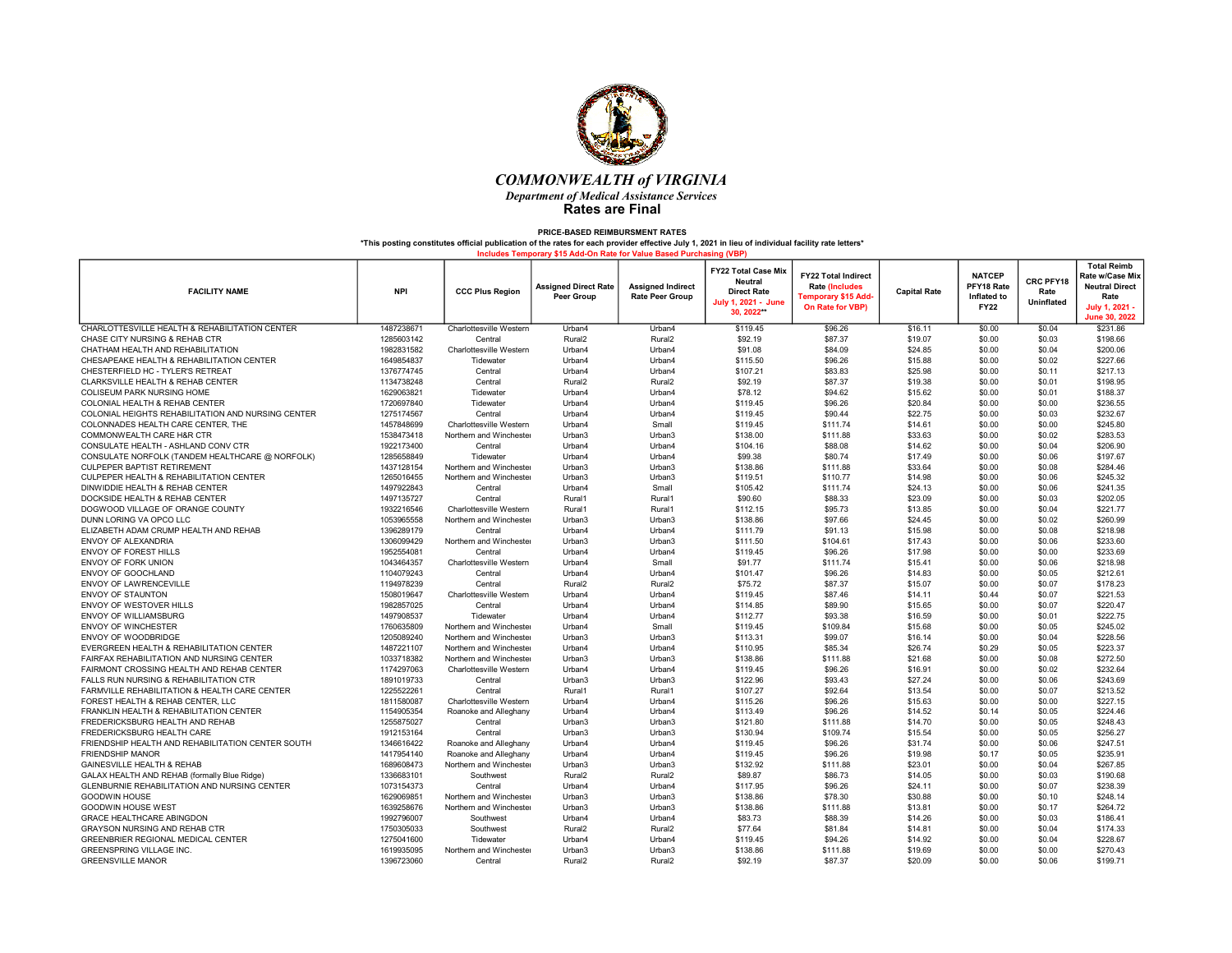

| <b>FACILITY NAME</b>                                | <b>NPI</b> | <b>CCC Plus Region</b>  | <b>Assigned Direct Rate</b><br>Peer Group | <b>Assigned Indirect</b><br><b>Rate Peer Group</b> | FY22 Total Case Mix<br><b>Neutral</b><br><b>Direct Rate</b><br>July 1, 2021 - June<br>30.2022** | <b>FY22 Total Indirect</b><br><b>Rate (Includes</b><br>Temporary \$15 Add <sub>'</sub><br>On Rate for VBP) | <b>Capital Rate</b> | <b>NATCEP</b><br>PFY18 Rate<br>Inflated to<br><b>FY22</b> | CRC PFY18<br>Rate<br>Uninflated | <b>Total Reimb</b><br>Rate w/Case Mix<br><b>Neutral Direct</b><br>Rate<br><b>July 1, 2021</b><br>June 30, 2022 |
|-----------------------------------------------------|------------|-------------------------|-------------------------------------------|----------------------------------------------------|-------------------------------------------------------------------------------------------------|------------------------------------------------------------------------------------------------------------|---------------------|-----------------------------------------------------------|---------------------------------|----------------------------------------------------------------------------------------------------------------|
| CHARLOTTESVILLE HEALTH & REHABILITATION CENTER      | 1487238671 | Charlottesville Western | Urban4                                    | Urban4                                             | \$119.45                                                                                        | \$96.26                                                                                                    | \$16.11             | \$0.00                                                    | \$0.04                          | \$231.86                                                                                                       |
| CHASE CITY NURSING & REHAB CTR                      | 1285603142 | Central                 | Rural <sub>2</sub>                        | Rural <sub>2</sub>                                 | \$92.19                                                                                         | \$87.37                                                                                                    | \$19.07             | \$0.00                                                    | \$0.03                          | \$198.66                                                                                                       |
| CHATHAM HEALTH AND REHABILITATION                   | 1982831582 | Charlottesville Western | Urban4                                    | Urban4                                             | \$91.08                                                                                         | \$84.09                                                                                                    | \$24.85             | \$0.00                                                    | \$0.04                          | \$200.06                                                                                                       |
| CHESAPEAKE HEALTH & REHABILITATION CENTER           | 1649854837 | Tidewater               | Urban4                                    | Urban4                                             | \$115.50                                                                                        | \$96.26                                                                                                    | \$15.88             | \$0.00                                                    | \$0.02                          | \$227.66                                                                                                       |
| CHESTERFIELD HC - TYLER'S RETREAT                   | 1376774745 | Central                 | Urban4                                    | Urban4                                             | \$107.21                                                                                        | \$83.83                                                                                                    | \$25.98             | \$0.00                                                    | \$0.11                          | \$217.13                                                                                                       |
| CLARKSVILLE HEALTH & REHAB CENTER                   | 1134738248 | Central                 | Rural <sub>2</sub>                        | Rural <sub>2</sub>                                 | \$92.19                                                                                         | \$87.37                                                                                                    | \$19.38             | \$0.00                                                    | \$0.01                          | \$198.95                                                                                                       |
| <b>COLISEUM PARK NURSING HOME</b>                   | 1629063821 | Tidewater               | Urban4                                    | Urban4                                             | \$78.12                                                                                         | \$94.62                                                                                                    | \$15.62             | \$0.00                                                    | \$0.01                          | \$188.37                                                                                                       |
| COLONIAL HEALTH & REHAB CENTER                      | 1720697840 | Tidewater               | Urban4                                    | Urban4                                             | \$119.45                                                                                        | \$96.26                                                                                                    | \$20.84             | \$0.00                                                    | \$0.00                          | \$236.55                                                                                                       |
| COLONIAL HEIGHTS REHABILITATION AND NURSING CENTER  | 1275174567 | Central                 | Urban4                                    | Urban4                                             | \$119.45                                                                                        | \$90.44                                                                                                    | \$22.75             | \$0.00                                                    | \$0.03                          | \$232.67                                                                                                       |
| COLONNADES HEALTH CARE CENTER, THE                  | 1457848699 | Charlottesville Western | Urban4                                    | Small                                              | \$119.45                                                                                        | \$111.74                                                                                                   | \$14.61             | \$0.00                                                    | \$0.00                          | \$245.80                                                                                                       |
| COMMONWEALTH CARE H&R CTR                           | 1538473418 | Northern and Winchester | Urban3                                    | Urban3                                             | \$138.00                                                                                        | \$111.88                                                                                                   | \$33.63             | \$0.00                                                    | \$0.02                          | \$283.53                                                                                                       |
| CONSULATE HEALTH - ASHLAND CONV CTR                 | 1922173400 | Central                 | Urban4                                    | Urban4                                             | \$104.16                                                                                        | \$88.08                                                                                                    | \$14.62             | \$0.00                                                    | \$0.04                          | \$206.90                                                                                                       |
| CONSULATE NORFOLK (TANDEM HEALTHCARE @ NORFOLK)     | 1285658849 | Tidewater               | Urban4                                    | Urban4                                             | \$99.38                                                                                         | \$80.74                                                                                                    | \$17.49             | \$0.00                                                    | \$0.06                          | \$197.67                                                                                                       |
| CULPEPER BAPTIST RETIREMENT                         | 1437128154 | Northern and Winchester | Urban3                                    | Urban3                                             | \$138.86                                                                                        | \$111.88                                                                                                   | \$33.64             | \$0.00                                                    | \$0.08                          | \$284.46                                                                                                       |
| CULPEPER HEALTH & REHABILITATION CENTER             | 1265016455 | Northern and Winchester | Urban3                                    | Urban3                                             | \$119.51                                                                                        | \$110.77                                                                                                   | \$14.98             | \$0.00                                                    | \$0.06                          | \$245.32                                                                                                       |
| DINWIDDIE HEALTH & REHAB CENTER                     | 1497922843 | Central                 | Urban4                                    | Small                                              | \$105.42                                                                                        | \$111.74                                                                                                   | \$24.13             | \$0.00                                                    | \$0.06                          | \$241.35                                                                                                       |
| DOCKSIDE HEALTH & REHAB CENTER                      | 1497135727 | Central                 | Rural1                                    | Rural1                                             | \$90.60                                                                                         | \$88.33                                                                                                    | \$23.09             | \$0.00                                                    | \$0.03                          | \$202.05                                                                                                       |
| DOGWOOD VILLAGE OF ORANGE COUNTY                    | 1932216546 | Charlottesville Western | Rural1                                    | Rural1                                             | \$112.15                                                                                        | \$95.73                                                                                                    | \$13.85             | \$0.00                                                    | \$0.04                          | \$221.77                                                                                                       |
| DUNN LORING VA OPCO LLC                             | 1053965558 | Northern and Winchester | Urban3                                    | Urban3                                             | \$138.86                                                                                        | \$97.66                                                                                                    | \$24.45             | \$0.00                                                    | \$0.02                          | \$260.99                                                                                                       |
| ELIZABETH ADAM CRUMP HEALTH AND REHAB               | 1396289179 | Central                 | Urban4                                    | Urban4                                             | \$111.79                                                                                        | \$91.13                                                                                                    | \$15.98             | \$0.00                                                    | \$0.08                          | \$218.98                                                                                                       |
| ENVOY OF ALEXANDRIA                                 | 1306099429 | Northern and Winchester | Urban3                                    | Urban3                                             | \$111.50                                                                                        | \$104.61                                                                                                   | \$17.43             | \$0.00                                                    | \$0.06                          | \$233.60                                                                                                       |
| ENVOY OF FOREST HILLS                               | 1952554081 | Central                 | Urban4                                    | Urban4                                             | \$119.45                                                                                        | \$96.26                                                                                                    | \$17.98             | \$0.00                                                    | \$0.00                          | \$233.69                                                                                                       |
| <b>ENVOY OF FORK UNION</b>                          | 1043464357 | Charlottesville Western | Urban4                                    | Small                                              | \$91.77                                                                                         | \$111.74                                                                                                   | \$15.41             | \$0.00                                                    | \$0.06                          | \$218.98                                                                                                       |
| <b>ENVOY OF GOOCHLAND</b>                           | 1104079243 | Central                 | Urban4                                    | Urban4                                             | \$101.47                                                                                        | \$96.26                                                                                                    | \$14.83             | \$0.00                                                    | \$0.05                          | \$212.61                                                                                                       |
| <b>ENVOY OF LAWRENCEVILLE</b>                       | 1194978239 | Central                 | Rural <sub>2</sub>                        | Rural <sub>2</sub>                                 | \$75.72                                                                                         | \$87.37                                                                                                    | \$15.07             | \$0.00                                                    | \$0.07                          | \$178.23                                                                                                       |
| <b>ENVOY OF STAUNTON</b>                            | 1508019647 | Charlottesville Western | Urban4                                    | Urban4                                             | \$119.45                                                                                        | \$87.46                                                                                                    | \$14.11             | \$0.44                                                    | \$0.07                          | \$221.53                                                                                                       |
| <b>ENVOY OF WESTOVER HILLS</b>                      | 1982857025 | Central                 | Urban4                                    | Urban4                                             | \$114.85                                                                                        | \$89.90                                                                                                    | \$15.65             | \$0.00                                                    | \$0.07                          | \$220.47                                                                                                       |
| <b>ENVOY OF WILLIAMSBURG</b>                        | 1497908537 | Tidewater               | Urban4                                    | Urban4                                             | \$112.77                                                                                        | \$93.38                                                                                                    | \$16.59             | \$0.00                                                    | \$0.01                          | \$222.75                                                                                                       |
| <b>ENVOY OF WINCHESTER</b>                          | 1760635809 | Northern and Winchester | Urban4                                    | Small                                              | \$119.45                                                                                        | \$109.84                                                                                                   | \$15.68             | \$0.00                                                    | \$0.05                          | \$245.02                                                                                                       |
| ENVOY OF WOODBRIDGE                                 | 1205089240 | Northern and Winchester | Urban3                                    | Urban3                                             | \$113.31                                                                                        | \$99.07                                                                                                    | \$16.14             | \$0.00                                                    | \$0.04                          | \$228.56                                                                                                       |
| EVERGREEN HEALTH & REHABILITATION CENTER            | 1487221107 | Northern and Winchester | Urban4                                    | Urban4                                             | \$110.95                                                                                        | \$85.34                                                                                                    | \$26.74             | \$0.29                                                    | \$0.05                          | \$223.37                                                                                                       |
| FAIRFAX REHABILITATION AND NURSING CENTER           | 1033718382 | Northern and Winchester | Urban3                                    | Urban3                                             | \$138.86                                                                                        | \$111.88                                                                                                   | \$21.68             | \$0.00                                                    | \$0.08                          | \$272.50                                                                                                       |
| FAIRMONT CROSSING HEALTH AND REHAB CENTER           | 1174297063 | Charlottesville Western | Urban4                                    | Urban4                                             | \$119.45                                                                                        | \$96.26                                                                                                    | \$16.91             | \$0.00                                                    | \$0.02                          | \$232.64                                                                                                       |
| FALLS RUN NURSING & REHABILITATION CTR              | 1891019733 | Central                 | Urban3                                    | Urban3                                             | \$122.96                                                                                        | \$93.43                                                                                                    | \$27.24             | \$0.00                                                    | \$0.06                          | \$243.69                                                                                                       |
| FARMVILLE REHABILITATION & HEALTH CARE CENTER       | 1225522261 | Central                 | Rural1                                    | Rural1                                             | \$107.27                                                                                        | \$92.64                                                                                                    | \$13.54             | \$0.00                                                    | \$0.07                          | \$213.52                                                                                                       |
| FOREST HEALTH & REHAB CENTER. LLC                   | 1811580087 | Charlottesville Western | Urban4                                    | Urban4                                             | \$115.26                                                                                        | \$96.26                                                                                                    | \$15.63             | \$0.00                                                    | \$0.00                          | \$227.15                                                                                                       |
| FRANKLIN HEALTH & REHABILITATION CENTER             | 1154905354 | Roanoke and Alleghany   | Urban4                                    | Urban4                                             | \$113.49                                                                                        | \$96.26                                                                                                    | \$14.52             | \$0.14                                                    | \$0.05                          | \$224.46                                                                                                       |
| FREDERICKSBURG HEALTH AND REHAB                     | 1255875027 | Central                 | Urban3                                    | Urban3                                             | \$121.80                                                                                        | \$111.88                                                                                                   | \$14.70             | \$0.00                                                    | \$0.05                          | \$248.43                                                                                                       |
| FREDERICKSBURG HEALTH CARE                          | 1912153164 | Central                 | Urban3                                    | Urban3                                             | \$130.94                                                                                        | \$109.74                                                                                                   | \$15.54             | \$0.00                                                    | \$0.05                          | \$256.27                                                                                                       |
| FRIENDSHIP HEALTH AND REHABILITATION CENTER SOUTH   | 1346616422 | Roanoke and Alleghany   | Urban4                                    | Urban4                                             | \$119.45                                                                                        | \$96.26                                                                                                    | \$31.74             | \$0.00                                                    | \$0.06                          | \$247.51                                                                                                       |
| <b>FRIENDSHIP MANOR</b>                             | 1417954140 | Roanoke and Alleghany   | Urban4                                    | Urban4                                             | \$119.45                                                                                        | \$96.26                                                                                                    | \$19.98             | \$0.17                                                    | \$0.05                          | \$235.91                                                                                                       |
| <b>GAINESVILLE HEALTH &amp; REHAB</b>               | 1689608473 | Northern and Winchester | Urban3                                    | Urban3                                             | \$132.92                                                                                        | \$111.88                                                                                                   | \$23.01             | \$0.00                                                    | \$0.04                          | \$267.85                                                                                                       |
| GALAX HEALTH AND REHAB (formally Blue Ridge)        | 1336683101 | Southwest               | Rural <sub>2</sub>                        | Rural <sub>2</sub>                                 | \$89.87                                                                                         | \$86.73                                                                                                    | \$14.05             | \$0.00                                                    | \$0.03                          | \$190.68                                                                                                       |
| <b>GLENBURNIE REHABILITATION AND NURSING CENTER</b> | 1073154373 | Central                 | Urban4                                    | Urban4                                             | \$117.95                                                                                        | \$96.26                                                                                                    | \$24.11             | \$0.00                                                    | \$0.07                          | \$238.39                                                                                                       |
| <b>GOODWIN HOUSE</b>                                | 1629069851 | Northern and Winchester | Urban3                                    | Urban3                                             | \$138.86                                                                                        | \$78.30                                                                                                    | \$30.88             | \$0.00                                                    | \$0.10                          | \$248.14                                                                                                       |
| <b>GOODWIN HOUSE WEST</b>                           | 1639258676 | Northern and Winchester | Urban3                                    | Urban3                                             | \$138.86                                                                                        | \$111.88                                                                                                   | \$13.81             | \$0.00                                                    | \$0.17                          | \$264.72                                                                                                       |
| <b>GRACE HEALTHCARE ABINGDON</b>                    | 1992796007 | Southwest               | Urban4                                    | Urban4                                             | \$83.73                                                                                         | \$88.39                                                                                                    | \$14.26             | \$0.00                                                    | \$0.03                          | \$186.41                                                                                                       |
| <b>GRAYSON NURSING AND REHAB CTR</b>                | 1750305033 | Southwest               | Rural <sub>2</sub>                        | Rural <sub>2</sub>                                 | \$77.64                                                                                         | \$81.84                                                                                                    | \$14.81             | \$0.00                                                    | \$0.04                          | \$174.33                                                                                                       |
| <b>GREENBRIER REGIONAL MEDICAL CENTER</b>           | 1275041600 | Tidewater               | Urban4                                    | Urban4                                             | \$119.45                                                                                        | \$94.26                                                                                                    | \$14.92             | \$0.00                                                    | \$0.04                          | \$228.67                                                                                                       |
| GREENSPRING VILLAGE INC.                            | 1619935095 | Northern and Winchester | Urban3                                    | Urban3                                             | \$138.86                                                                                        | \$111.88                                                                                                   | \$19.69             | \$0.00                                                    | \$0.00                          | \$270.43                                                                                                       |
| <b>GREENSVILLE MANOR</b>                            | 1396723060 | Central                 | Rural <sub>2</sub>                        | Rural <sub>2</sub>                                 | \$92.19                                                                                         | \$87.37                                                                                                    | \$20.09             | \$0.00                                                    | \$0.06                          | \$199.71                                                                                                       |
|                                                     |            |                         |                                           |                                                    |                                                                                                 |                                                                                                            |                     |                                                           |                                 |                                                                                                                |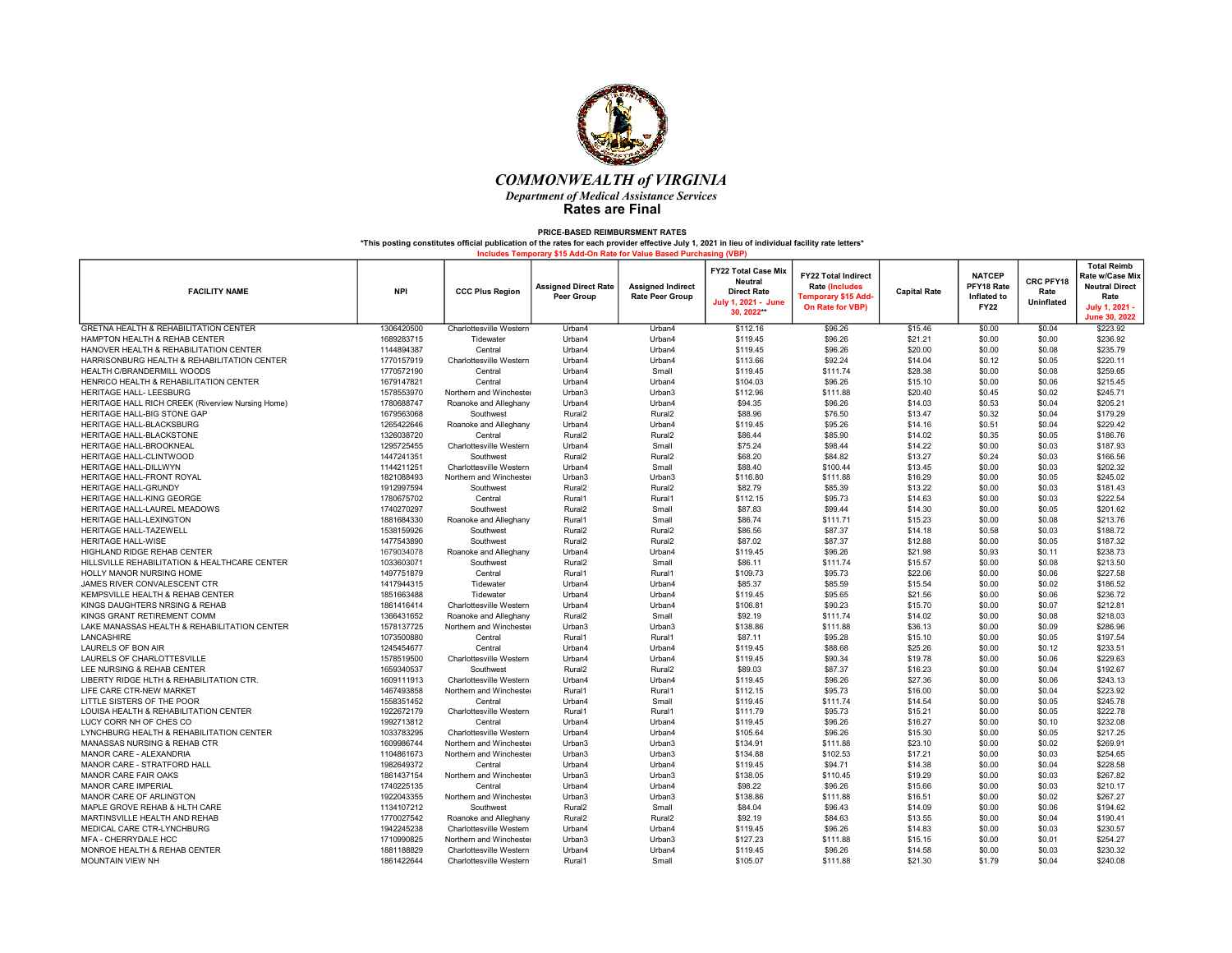

| <b>FACILITY NAME</b>                              | <b>NPI</b> | <b>CCC Plus Region</b>  | <b>Assigned Direct Rate</b><br><b>Peer Group</b> | <b>Assigned Indirect</b><br><b>Rate Peer Group</b> | <b>FY22 Total Case Mix</b><br><b>Neutral</b><br><b>Direct Rate</b><br>July 1, 2021 - June<br>30.2022** | <b>FY22 Total Indirect</b><br><b>Rate (Includes</b><br>Temporary \$15 Add <sub>1</sub><br>On Rate for VBP) | <b>Capital Rate</b> | <b>NATCEP</b><br>PFY18 Rate<br>Inflated to<br><b>FY22</b> | CRC PFY18<br>Rate<br>Uninflated | <b>Total Reimb</b><br>Rate w/Case Mix<br><b>Neutral Direct</b><br>Rate<br><b>July 1, 2021</b><br>June 30, 2022 |
|---------------------------------------------------|------------|-------------------------|--------------------------------------------------|----------------------------------------------------|--------------------------------------------------------------------------------------------------------|------------------------------------------------------------------------------------------------------------|---------------------|-----------------------------------------------------------|---------------------------------|----------------------------------------------------------------------------------------------------------------|
| <b>GRETNA HEALTH &amp; REHABILITATION CENTER</b>  | 1306420500 | Charlottesville Western | Urban4                                           | Urban4                                             | \$112.16                                                                                               | \$96.26                                                                                                    | \$15.46             | \$0.00                                                    | \$0.04                          | \$223.92                                                                                                       |
| HAMPTON HEALTH & REHAB CENTER                     | 1689283715 | Tidewater               | Urban4                                           | Urban4                                             | \$119.45                                                                                               | \$96.26                                                                                                    | \$21.21             | \$0.00                                                    | \$0.00                          | \$236.92                                                                                                       |
| HANOVER HEALTH & REHABILITATION CENTER            | 1144894387 | Central                 | Urban4                                           | Urban4                                             | \$119.45                                                                                               | \$96.26                                                                                                    | \$20.00             | \$0.00                                                    | \$0.08                          | \$235.79                                                                                                       |
| HARRISONBURG HEALTH & REHABILITATION CENTER       | 1770157919 | Charlottesville Western | Urban4                                           | Urban4                                             | \$113.66                                                                                               | \$92.24                                                                                                    | \$14.04             | \$0.12                                                    | \$0.05                          | \$220.11                                                                                                       |
| HEALTH C/BRANDERMILL WOODS                        | 1770572190 | Central                 | Urban4                                           | Small                                              | \$119.45                                                                                               | \$111.74                                                                                                   | \$28.38             | \$0.00                                                    | \$0.08                          | \$259.65                                                                                                       |
| HENRICO HEALTH & REHABILITATION CENTER            | 1679147821 | Central                 | Urban4                                           | Urban4                                             | \$104.03                                                                                               | \$96.26                                                                                                    | \$15.10             | \$0.00                                                    | \$0.06                          | \$215.45                                                                                                       |
| HERITAGE HALL- LEESBURG                           | 1578553970 | Northern and Winchester | Urban3                                           | Urban3                                             | \$112.96                                                                                               | \$111.88                                                                                                   | \$20.40             | \$0.45                                                    | \$0.02                          | \$245.71                                                                                                       |
| HERITAGE HALL RICH CREEK (Riverview Nursing Home) | 1780688747 | Roanoke and Alleghany   | Urban4                                           | Urban4                                             | \$94.35                                                                                                | \$96.26                                                                                                    | \$14.03             | \$0.53                                                    | \$0.04                          | \$205.21                                                                                                       |
| HERITAGE HALL-BIG STONE GAP                       | 1679563068 | Southwest               | Rural <sub>2</sub>                               | Rural <sub>2</sub>                                 | \$88.96                                                                                                | \$76.50                                                                                                    | \$13.47             | \$0.32                                                    | \$0.04                          | \$179.29                                                                                                       |
| HERITAGE HALL-BLACKSBURG                          | 1265422646 | Roanoke and Alleghany   | Urban4                                           | Urban4                                             | \$119.45                                                                                               | \$95.26                                                                                                    | \$14.16             | \$0.51                                                    | \$0.04                          | \$229.42                                                                                                       |
| HERITAGE HALL-BLACKSTONE                          | 1326038720 | Central                 | Rural <sub>2</sub>                               | Rural <sub>2</sub>                                 | \$86.44                                                                                                | \$85.90                                                                                                    | \$14.02             | \$0.35                                                    | \$0.05                          | \$186.76                                                                                                       |
| <b>HERITAGE HALL-BROOKNEAL</b>                    | 1295725455 | Charlottesville Western | Urban4                                           | Small                                              | \$75.24                                                                                                | \$98.44                                                                                                    | \$14.22             | \$0.00                                                    | \$0.03                          | \$187.93                                                                                                       |
| HERITAGE HALL-CLINTWOOD                           | 1447241351 | Southwest               | Rural <sub>2</sub>                               | Rural <sub>2</sub>                                 | \$68.20                                                                                                | \$84.82                                                                                                    | \$13.27             | \$0.24                                                    | \$0.03                          | \$166.56                                                                                                       |
| HERITAGE HALL-DILLWYN                             | 1144211251 | Charlottesville Western | Urban4                                           | Small                                              | \$88.40                                                                                                | \$100.44                                                                                                   | \$13.45             | \$0.00                                                    | \$0.03                          | \$202.32                                                                                                       |
| HERITAGE HALL-FRONT ROYAL                         | 1821088493 | Northern and Winchester | Urban3                                           | Urban3                                             | \$116.80                                                                                               | \$111.88                                                                                                   | \$16.29             | \$0.00                                                    | \$0.05                          | \$245.02                                                                                                       |
| HERITAGE HALL-GRUNDY                              | 1912997594 | Southwest               | Rural <sub>2</sub>                               | Rural <sub>2</sub>                                 | \$82.79                                                                                                | \$85.39                                                                                                    | \$13.22             | \$0.00                                                    | \$0.03                          | \$181.43                                                                                                       |
| HERITAGE HALL-KING GEORGE                         | 1780675702 | Central                 | Rural1                                           | Rural1                                             | \$112.15                                                                                               | \$95.73                                                                                                    | \$14.63             | \$0.00                                                    | \$0.03                          | \$222.54                                                                                                       |
| HERITAGE HALL-LAUREL MEADOWS                      | 1740270297 | Southwest               | Rural <sub>2</sub>                               | Small                                              | \$87.83                                                                                                | \$99.44                                                                                                    | \$14.30             | \$0.00                                                    | \$0.05                          | \$201.62                                                                                                       |
| HERITAGE HALL-LEXINGTON                           | 1881684330 | Roanoke and Alleghany   | Rural1                                           | Small                                              | \$86.74                                                                                                | \$111.71                                                                                                   | \$15.23             | \$0.00                                                    | \$0.08                          | \$213.76                                                                                                       |
| <b>HERITAGE HALL-TAZEWELL</b>                     | 1538159926 | Southwest               | Rural <sub>2</sub>                               | Rural <sub>2</sub>                                 | \$86.56                                                                                                | \$87.37                                                                                                    | \$14.18             | \$0.58                                                    | \$0.03                          | \$188.72                                                                                                       |
| <b>HERITAGE HALL-WISE</b>                         | 1477543890 | Southwest               | Rural <sub>2</sub>                               | Rural <sub>2</sub>                                 | \$87.02                                                                                                | \$87.37                                                                                                    | \$12.88             | \$0.00                                                    | \$0.05                          | \$187.32                                                                                                       |
| HIGHLAND RIDGE REHAB CENTER                       | 1679034078 | Roanoke and Alleghany   | Urban4                                           | Urban4                                             | \$119.45                                                                                               | \$96.26                                                                                                    | \$21.98             | \$0.93                                                    | \$0.11                          | \$238.73                                                                                                       |
| HILLSVILLE REHABILITATION & HEALTHCARE CENTER     | 1033603071 | Southwest               | Rural <sub>2</sub>                               | Small                                              | \$86.11                                                                                                | \$111.74                                                                                                   | \$15.57             | \$0.00                                                    | \$0.08                          | \$213.50                                                                                                       |
| <b>HOLLY MANOR NURSING HOME</b>                   | 1497751879 | Central                 | Rural1                                           | Rural1                                             | \$109.73                                                                                               | \$95.73                                                                                                    | \$22.06             | \$0.00                                                    | \$0.06                          | \$227.58                                                                                                       |
| JAMES RIVER CONVALESCENT CTR                      | 1417944315 | Tidewater               | Urban4                                           | Urban4                                             | \$85.37                                                                                                | \$85.59                                                                                                    | \$15.54             | \$0.00                                                    | \$0.02                          | \$186.52                                                                                                       |
| KEMPSVILLE HEALTH & REHAB CENTER                  | 1851663488 | Tidewater               | Urban4                                           | Urban4                                             | \$119.45                                                                                               | \$95.65                                                                                                    | \$21.56             | \$0.00                                                    | \$0.06                          | \$236.72                                                                                                       |
| KINGS DAUGHTERS NRSING & REHAB                    | 1861416414 | Charlottesville Western | Urban4                                           | Urban4                                             | \$106.81                                                                                               | \$90.23                                                                                                    | \$15.70             | \$0.00                                                    | \$0.07                          | \$212.81                                                                                                       |
| KINGS GRANT RETIREMENT COMM                       | 1366431652 | Roanoke and Alleghany   | Rural <sub>2</sub>                               | Small                                              | \$92.19                                                                                                | \$111.74                                                                                                   | \$14.02             | \$0.00                                                    | \$0.08                          | \$218.03                                                                                                       |
| LAKE MANASSAS HEALTH & REHABILITATION CENTER      | 1578137725 | Northern and Winchester | Urban3                                           | Urban3                                             | \$138.86                                                                                               | \$111.88                                                                                                   | \$36.13             | \$0.00                                                    | \$0.09                          | \$286.96                                                                                                       |
| LANCASHIRE                                        | 1073500880 | Central                 | Rural1                                           | Rural1                                             | \$87.11                                                                                                | \$95.28                                                                                                    | \$15.10             | \$0.00                                                    | \$0.05                          | \$197.54                                                                                                       |
| LAURELS OF BON AIR                                | 1245454677 | Central                 | Urban4                                           | Urban4                                             | \$119.45                                                                                               | \$88.68                                                                                                    | \$25.26             | \$0.00                                                    | \$0.12                          | \$233.51                                                                                                       |
| LAURELS OF CHARLOTTESVILLE                        | 1578519500 | Charlottesville Western | Urban4                                           | Urban4                                             | \$119.45                                                                                               | \$90.34                                                                                                    | \$19.78             | \$0.00                                                    | \$0.06                          | \$229.63                                                                                                       |
| LEE NURSING & REHAB CENTER                        | 1659340537 | Southwest               | Rural <sub>2</sub>                               | Rural <sub>2</sub>                                 | \$89.03                                                                                                | \$87.37                                                                                                    | \$16.23             | \$0.00                                                    | \$0.04                          | \$192.67                                                                                                       |
| LIBERTY RIDGE HLTH & REHABILITATION CTR.          | 1609111913 | Charlottesville Western | Urban4                                           | Urban4                                             | \$119.45                                                                                               | \$96.26                                                                                                    | \$27.36             | \$0.00                                                    | \$0.06                          | \$243.13                                                                                                       |
| LIFE CARE CTR-NEW MARKET                          | 1467493858 | Northern and Winchester | Rural1                                           | Rural1                                             | \$112.15                                                                                               | \$95.73                                                                                                    | \$16.00             | \$0.00                                                    | \$0.04                          | \$223.92                                                                                                       |
| LITTLE SISTERS OF THE POOR                        | 1558351452 | Central                 | Urban4                                           | Small                                              | \$119.45                                                                                               | \$111.74                                                                                                   | \$14.54             | \$0.00                                                    | \$0.05                          | \$245.78                                                                                                       |
| LOUISA HEALTH & REHABILITATION CENTER             | 1922672179 | Charlottesville Western | Rural1                                           | Rural1                                             | \$111.79                                                                                               | \$95.73                                                                                                    | \$15.21             | \$0.00                                                    | \$0.05                          | \$222.78                                                                                                       |
| LUCY CORR NH OF CHES CO                           | 1992713812 | Central                 | Urban4                                           | Urban4                                             | \$119.45                                                                                               | \$96.26                                                                                                    | \$16.27             | \$0.00                                                    | \$0.10                          | \$232.08                                                                                                       |
| LYNCHBURG HEALTH & REHABILITATION CENTER          | 1033783295 | Charlottesville Western | Urban4                                           | Urban4                                             | \$105.64                                                                                               | \$96.26                                                                                                    | \$15.30             | \$0.00                                                    | \$0.05                          | \$217.25                                                                                                       |
| MANASSAS NURSING & REHAB CTR                      | 1609986744 | Northern and Winchester | Urban3                                           | Urban3                                             | \$134.91                                                                                               | \$111.88                                                                                                   | \$23.10             | \$0.00                                                    | \$0.02                          | \$269.91                                                                                                       |
| MANOR CARE - ALEXANDRIA                           | 1104861673 | Northern and Winchester | Urban3                                           | Urban3                                             | \$134.88                                                                                               | \$102.53                                                                                                   | \$17.21             | \$0.00                                                    | \$0.03                          | \$254.65                                                                                                       |
| MANOR CARE - STRATFORD HALL                       | 1982649372 | Central                 | Urban4                                           | Urban4                                             | \$119.45                                                                                               | \$94.71                                                                                                    | \$14.38             | \$0.00                                                    | \$0.04                          | \$228.58                                                                                                       |
| MANOR CARE FAIR OAKS                              | 1861437154 | Northern and Winchester | Urban3                                           | Urban3                                             | \$138.05                                                                                               | \$110.45                                                                                                   | \$19.29             | \$0.00                                                    | \$0.03                          | \$267.82                                                                                                       |
| <b>MANOR CARE IMPERIAL</b>                        | 1740225135 | Central                 | Urban4                                           | Urban4                                             | \$98.22                                                                                                | \$96.26                                                                                                    | \$15.66             | \$0.00                                                    | \$0.03                          | \$210.17                                                                                                       |
| MANOR CARE OF ARLINGTON                           | 1922043355 | Northern and Winchester | Urban3                                           | Urban3                                             | \$138.86                                                                                               | \$111.88                                                                                                   | \$16.51             | \$0.00                                                    | \$0.02                          | \$267.27                                                                                                       |
| MAPLE GROVE REHAB & HLTH CARE                     | 1134107212 | Southwest               | Rural <sub>2</sub>                               | Small                                              | \$84.04                                                                                                | \$96.43                                                                                                    | \$14.09             | \$0.00                                                    | \$0.06                          | \$194.62                                                                                                       |
| MARTINSVILLE HEALTH AND REHAB                     | 1770027542 | Roanoke and Alleghany   | Rural <sub>2</sub>                               | Rural <sub>2</sub>                                 | \$92.19                                                                                                | \$84.63                                                                                                    | \$13.55             | \$0.00                                                    | \$0.04                          | \$190.41                                                                                                       |
| MEDICAL CARE CTR-LYNCHBURG                        | 1942245238 | Charlottesville Western | Urban4                                           | Urban4                                             | \$119.45                                                                                               | \$96.26                                                                                                    | \$14.83             | \$0.00                                                    | \$0.03                          | \$230.57                                                                                                       |
| MFA - CHERRYDALE HCC                              | 1710990825 | Northern and Winchester | Urban3                                           | Urban3                                             | \$127.23                                                                                               | \$111.88                                                                                                   | \$15.15             | \$0.00                                                    | \$0.01                          | \$254.27                                                                                                       |
| MONROE HEALTH & REHAB CENTER                      | 1881188829 | Charlottesville Western | Urban4                                           | Urban4                                             | \$119.45                                                                                               | \$96.26                                                                                                    | \$14.58             | \$0.00                                                    | \$0.03                          | \$230.32                                                                                                       |
| MOUNTAIN VIEW NH                                  | 1861422644 | Charlottesville Western | Rural1                                           | Small                                              | \$105.07                                                                                               | \$111.88                                                                                                   | \$21.30             | \$1.79                                                    | \$0.04                          | \$240.08                                                                                                       |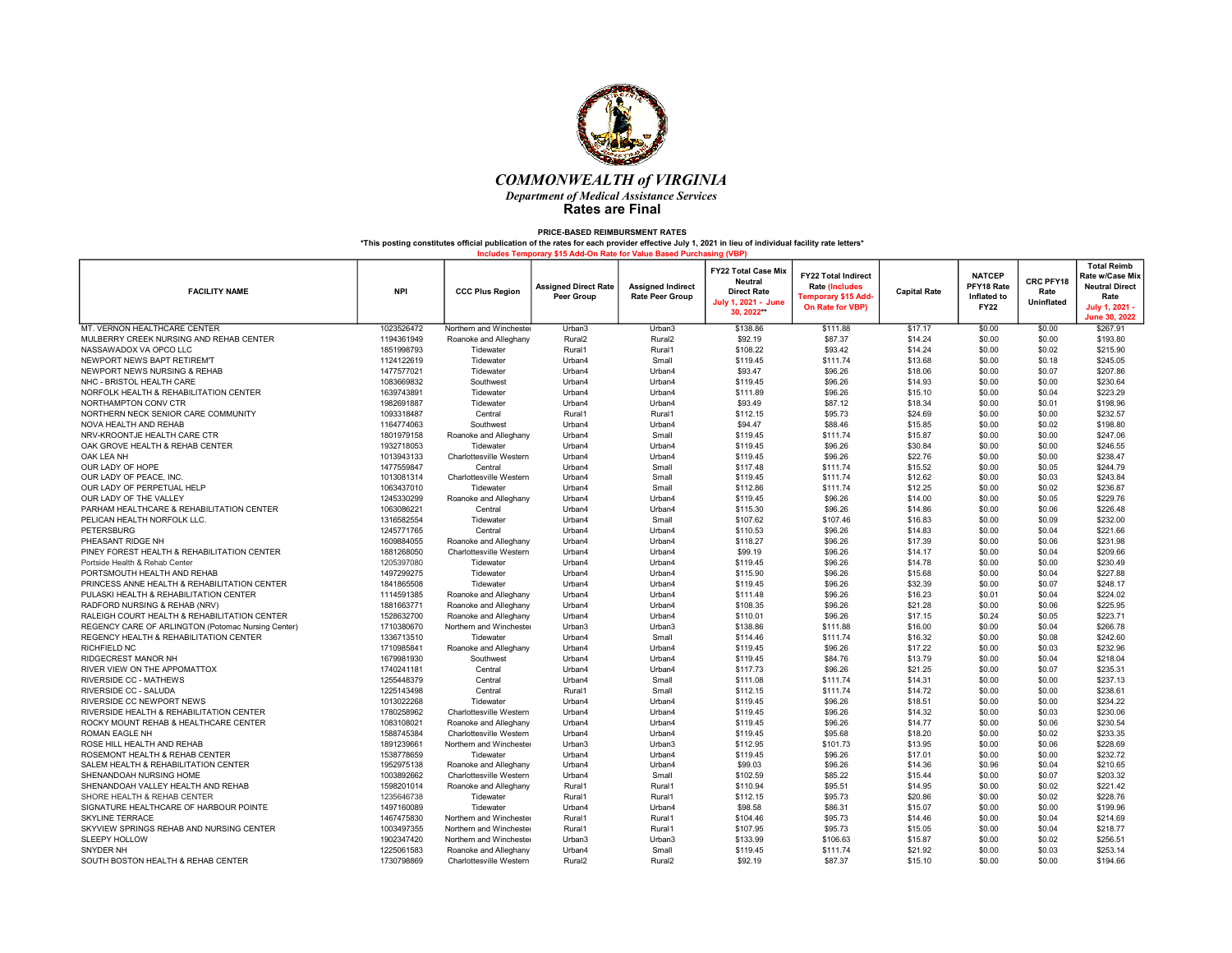

| <b>FACILITY NAME</b>                               | <b>NPI</b> | <b>CCC Plus Region</b>  | <b>Assigned Direct Rate</b><br>Peer Group | <b>Assigned Indirect</b><br><b>Rate Peer Group</b> | <b>FY22 Total Case Mix</b><br><b>Neutral</b><br><b>Direct Rate</b><br>July 1, 2021 - June<br>30.2022** | <b>FY22 Total Indirect</b><br><b>Rate (Includes</b><br>Temporary \$15 Add <sub>'</sub><br>On Rate for VBP) | <b>Capital Rate</b> | <b>NATCEP</b><br>PFY18 Rate<br>Inflated to<br><b>FY22</b> | CRC PFY18<br>Rate<br>Uninflated | <b>Total Reimb</b><br>Rate w/Case Mix<br><b>Neutral Direct</b><br>Rate<br><b>July 1, 2021</b><br>June 30, 2022 |
|----------------------------------------------------|------------|-------------------------|-------------------------------------------|----------------------------------------------------|--------------------------------------------------------------------------------------------------------|------------------------------------------------------------------------------------------------------------|---------------------|-----------------------------------------------------------|---------------------------------|----------------------------------------------------------------------------------------------------------------|
| MT. VERNON HEALTHCARE CENTER                       | 1023526472 | Northern and Winchester | Urban3                                    | Urban3                                             | \$138.86                                                                                               | \$111.88                                                                                                   | \$17.17             | \$0.00                                                    | \$0.00                          | \$267.91                                                                                                       |
| MULBERRY CREEK NURSING AND REHAB CENTER            | 1194361949 | Roanoke and Alleghany   | Rural <sub>2</sub>                        | Rural <sub>2</sub>                                 | \$92.19                                                                                                | \$87.37                                                                                                    | \$14.24             | \$0.00                                                    | \$0.00                          | \$193.80                                                                                                       |
| NASSAWADOX VA OPCO LLC                             | 1851998793 | Tidewater               | Rural1                                    | Rural1                                             | \$108.22                                                                                               | \$93.42                                                                                                    | \$14.24             | \$0.00                                                    | \$0.02                          | \$215.90                                                                                                       |
| NEWPORT NEWS BAPT RETIREM'T                        | 1124122619 | Tidewater               | Urban4                                    | Small                                              | \$119.45                                                                                               | \$111.74                                                                                                   | \$13.68             | \$0.00                                                    | \$0.18                          | \$245.05                                                                                                       |
| NEWPORT NEWS NURSING & REHAB                       | 1477577021 | Tidewater               | Urban4                                    | Urban4                                             | \$93.47                                                                                                | \$96.26                                                                                                    | \$18.06             | \$0.00                                                    | \$0.07                          | \$207.86                                                                                                       |
| NHC - BRISTOL HEALTH CARE                          | 1083669832 | Southwest               | Urban4                                    | Urban4                                             | \$119.45                                                                                               | \$96.26                                                                                                    | \$14.93             | \$0.00                                                    | \$0.00                          | \$230.64                                                                                                       |
| NORFOLK HEALTH & REHABILITATION CENTER             | 1639743891 | Tidewater               | Urban4                                    | Urban4                                             | \$111.89                                                                                               | \$96.26                                                                                                    | \$15.10             | \$0.00                                                    | \$0.04                          | \$223.29                                                                                                       |
| NORTHAMPTON CONV CTR                               | 1982691887 | Tidewater               | Urban4                                    | Urban4                                             | \$93.49                                                                                                | \$87.12                                                                                                    | \$18.34             | \$0.00                                                    | \$0.01                          | \$198.96                                                                                                       |
| NORTHERN NECK SENIOR CARE COMMUNITY                | 1093318487 | Central                 | Rural1                                    | Rural1                                             | \$112.15                                                                                               | \$95.73                                                                                                    | \$24.69             | \$0.00                                                    | \$0.00                          | \$232.57                                                                                                       |
| NOVA HEALTH AND REHAB                              | 1164774063 | Southwest               | Urban4                                    | Urban4                                             | \$94.47                                                                                                | \$88.46                                                                                                    | \$15.85             | \$0.00                                                    | \$0.02                          | \$198.80                                                                                                       |
| NRV-KROONTJE HEALTH CARE CTR                       | 1801979158 | Roanoke and Alleghany   | Urban4                                    | Small                                              | \$119.45                                                                                               | \$111.74                                                                                                   | \$15.87             | \$0.00                                                    | \$0.00                          | \$247.06                                                                                                       |
| OAK GROVE HEALTH & REHAB CENTER                    | 1932718053 | Tidewater               | Urban4                                    | Urban4                                             | \$119.45                                                                                               | \$96.26                                                                                                    | \$30.84             | \$0.00                                                    | \$0.00                          | \$246.55                                                                                                       |
| OAK LEA NH                                         | 1013943133 | Charlottesville Western | Urban4                                    | Urban4                                             | \$119.45                                                                                               | \$96.26                                                                                                    | \$22.76             | \$0.00                                                    | \$0.00                          | \$238.47                                                                                                       |
| OUR LADY OF HOPE                                   | 1477559847 | Central                 | Urban4                                    | Small                                              | \$117.48                                                                                               | \$111.74                                                                                                   | \$15.52             | \$0.00                                                    | \$0.05                          | \$244.79                                                                                                       |
| OUR LADY OF PEACE, INC                             | 1013081314 | Charlottesville Western | Urban4                                    | Small                                              | \$119.45                                                                                               | \$111.74                                                                                                   | \$12.62             | \$0.00                                                    | \$0.03                          | \$243.84                                                                                                       |
| OUR LADY OF PERPETUAL HELP                         | 1063437010 | Tidewater               | Urban4                                    | Small                                              | \$112.86                                                                                               | \$111.74                                                                                                   | \$12.25             | \$0.00                                                    | \$0.02                          | \$236.87                                                                                                       |
| OUR LADY OF THE VALLEY                             | 1245330299 | Roanoke and Alleghany   | Urban4                                    | Urban4                                             | \$119.45                                                                                               | \$96.26                                                                                                    | \$14.00             | \$0.00                                                    | \$0.05                          | \$229.76                                                                                                       |
| PARHAM HEALTHCARE & REHABILITATION CENTER          | 1063086221 | Central                 | Urban4                                    | Urban4                                             | \$115.30                                                                                               | \$96.26                                                                                                    | \$14.86             | \$0.00                                                    | \$0.06                          | \$226.48                                                                                                       |
| PELICAN HEALTH NORFOLK LLC.                        | 1316582554 | Tidewater               | Urban4                                    | Small                                              | \$107.62                                                                                               | \$107.46                                                                                                   | \$16.83             | \$0.00                                                    | \$0.09                          | \$232.00                                                                                                       |
| <b>PETERSBURG</b>                                  | 1245771765 | Central                 | Urban4                                    | Urban4                                             | \$110.53                                                                                               | \$96.26                                                                                                    | \$14.83             | \$0.00                                                    | \$0.04                          | \$221.66                                                                                                       |
| PHEASANT RIDGE NH                                  | 1609884055 | Roanoke and Alleghany   | Urban4                                    | Urban4                                             | \$118.27                                                                                               | \$96.26                                                                                                    | \$17.39             | \$0.00                                                    | \$0.06                          | \$231.98                                                                                                       |
| PINEY FOREST HEALTH & REHABILITATION CENTER        | 1881268050 | Charlottesville Western | Urban4                                    | Urban4                                             | \$99.19                                                                                                | \$96.26                                                                                                    | \$14.17             | \$0.00                                                    | \$0.04                          | \$209.66                                                                                                       |
| Portside Health & Rehab Center                     | 1205397080 | Tidewater               | Urban4                                    | Urban4                                             | \$119.45                                                                                               | \$96.26                                                                                                    | \$14.78             | \$0.00                                                    | \$0.00                          | \$230.49                                                                                                       |
| PORTSMOUTH HEALTH AND REHAB                        | 1497299275 | Tidewater               | Urban4                                    | Urban4                                             | \$115.90                                                                                               | \$96.26                                                                                                    | \$15.68             | \$0.00                                                    | \$0.04                          | \$227.88                                                                                                       |
| PRINCESS ANNE HEALTH & REHABILITATION CENTER       | 1841865508 | Tidewater               | Urban4                                    | Urban4                                             | \$119.45                                                                                               | \$96.26                                                                                                    | \$32.39             | \$0.00                                                    | \$0.07                          | \$248.17                                                                                                       |
| PULASKI HEALTH & REHABILITATION CENTER             | 1114591385 | Roanoke and Alleghany   | Urban4                                    | Urban4                                             | \$111.48                                                                                               | \$96.26                                                                                                    | \$16.23             | \$0.01                                                    | \$0.04                          | \$224.02                                                                                                       |
| RADFORD NURSING & REHAB (NRV)                      | 1881663771 | Roanoke and Alleghany   | Urban4                                    | Urban4                                             | \$108.35                                                                                               | \$96.26                                                                                                    | \$21.28             | \$0.00                                                    | \$0.06                          | \$225.95                                                                                                       |
| RALEIGH COURT HEALTH & REHABILITATION CENTER       | 1528632700 | Roanoke and Alleghany   | Urban4                                    | Urban4                                             | \$110.01                                                                                               | \$96.26                                                                                                    | \$17.15             | \$0.24                                                    | \$0.05                          | \$223.71                                                                                                       |
| REGENCY CARE OF ARLINGTON (Potomac Nursing Center) | 1710380670 | Northern and Winchester | Urban3                                    | Urban3                                             | \$138.86                                                                                               | \$111.88                                                                                                   | \$16.00             | \$0.00                                                    | \$0.04                          | \$266.78                                                                                                       |
| REGENCY HEALTH & REHABILITATION CENTER             | 1336713510 | Tidewater               | Urban4                                    | Small                                              | \$114.46                                                                                               | \$111.74                                                                                                   | \$16.32             | \$0.00                                                    | \$0.08                          | \$242.60                                                                                                       |
| RICHFIELD NC                                       | 171098584  | Roanoke and Alleghany   | Urban4                                    | Urban4                                             | \$119.45                                                                                               | \$96.26                                                                                                    | \$17.22             | \$0.00                                                    | \$0.03                          | \$232.96                                                                                                       |
| <b>RIDGECREST MANOR NH</b>                         | 1679981930 | Southwest               | Urban4                                    | Urban4                                             | \$119.45                                                                                               | \$84.76                                                                                                    | \$13.79             | \$0.00                                                    | \$0.04                          | \$218.04                                                                                                       |
| RIVER VIEW ON THE APPOMATTOX                       | 1740241181 | Central                 | Urban4                                    | Urban4                                             | \$117.73                                                                                               | \$96.26                                                                                                    | \$21.25             | \$0.00                                                    | \$0.07                          | \$235.31                                                                                                       |
| <b>RIVERSIDE CC - MATHEWS</b>                      | 1255448379 | Central                 | Urban4                                    | Small                                              | \$111.08                                                                                               | \$111.74                                                                                                   | \$14.31             | \$0.00                                                    | \$0.00                          | \$237.13                                                                                                       |
| RIVERSIDE CC - SALUDA                              | 1225143498 | Central                 | Rural1                                    | Small                                              | \$112.15                                                                                               | \$111.74                                                                                                   | \$14.72             | \$0.00                                                    | \$0.00                          | \$238.61                                                                                                       |
| RIVERSIDE CC NEWPORT NEWS                          | 1013022268 | Tidewater               | Urban4                                    | Urban4                                             | \$119.45                                                                                               | \$96.26                                                                                                    | \$18.51             | \$0.00                                                    | \$0.00                          | \$234.22                                                                                                       |
| RIVERSIDE HEALTH & REHABILITATION CENTER           | 1780258962 | Charlottesville Western | Urban4                                    | Urban4                                             | \$119.45                                                                                               | \$96.26                                                                                                    | \$14.32             | \$0.00                                                    | \$0.03                          | \$230.06                                                                                                       |
| ROCKY MOUNT REHAB & HEALTHCARE CENTER              | 1083108021 | Roanoke and Alleghany   | Urban4                                    | Urban4                                             | \$119.45                                                                                               | \$96.26                                                                                                    | \$14,77             | \$0.00                                                    | \$0.06                          | \$230.54                                                                                                       |
| ROMAN EAGLE NH                                     | 1588745384 | Charlottesville Western | Urban4                                    | Urban4                                             | \$119.45                                                                                               | \$95.68                                                                                                    | \$18.20             | \$0.00                                                    | \$0.02                          | \$233.35                                                                                                       |
| ROSE HILL HEALTH AND REHAB                         | 1891239661 | Northern and Winchester | Urban3                                    | Urban3                                             | \$112.95                                                                                               | \$101.73                                                                                                   | \$13.95             | \$0.00                                                    | \$0.06                          | \$228.69                                                                                                       |
| ROSEMONT HEALTH & REHAB CENTER                     | 1538778659 | Tidewater               | Urban4                                    | Urban4                                             | \$119.45                                                                                               | \$96.26                                                                                                    | \$17.01             | \$0.00                                                    | \$0.00                          | \$232.72                                                                                                       |
| SALEM HEALTH & REHABILITATION CENTER               | 1952975138 | Roanoke and Alleghany   | Urban4                                    | Urban4                                             | \$99.03                                                                                                | \$96.26                                                                                                    | \$14.36             | \$0.96                                                    | \$0.04                          | \$210.65                                                                                                       |
| SHENANDOAH NURSING HOME                            | 1003892662 | Charlottesville Western | Urban4                                    | Small                                              | \$102.59                                                                                               | \$85.22                                                                                                    | \$15.44             | \$0.00                                                    | \$0.07                          | \$203.32                                                                                                       |
| SHENANDOAH VALLEY HEALTH AND REHAB                 | 1598201014 | Roanoke and Alleghany   | Rural1                                    | Rural1                                             | \$110.94                                                                                               | \$95.51                                                                                                    | \$14.95             | \$0.00                                                    | \$0.02                          | \$221.42                                                                                                       |
| SHORE HEALTH & REHAB CENTER                        | 1235646738 | Tidewater               | Rural1                                    | Rural1                                             | \$112.15                                                                                               | \$95.73                                                                                                    | \$20.86             | \$0.00                                                    | \$0.02                          | \$228.76                                                                                                       |
| SIGNATURE HEALTHCARE OF HARBOUR POINTE             | 1497160089 | Tidewater               | Urban4                                    | Urban4                                             | \$98.58                                                                                                | \$86.31                                                                                                    | \$15.07             | \$0.00                                                    | \$0.00                          | \$199.96                                                                                                       |
| <b>SKYLINE TERRACE</b>                             | 1467475830 | Northern and Winchester | Rural1                                    | Rural1                                             | \$104.46                                                                                               | \$95.73                                                                                                    | \$14.46             | \$0.00                                                    | \$0.04                          | \$214.69                                                                                                       |
| SKYVIEW SPRINGS REHAB AND NURSING CENTER           | 1003497355 | Northern and Winchester | Rural1                                    | Rural1                                             | \$107.95                                                                                               | \$95.73                                                                                                    | \$15.05             | \$0.00                                                    | \$0.04                          | \$218.77                                                                                                       |
| <b>SLEEPY HOLLOW</b>                               | 1902347420 | Northern and Winchester | Urban3                                    | Urban3                                             | \$133.99                                                                                               | \$106.63                                                                                                   | \$15.87             | \$0.00                                                    | \$0.02                          | \$256.51                                                                                                       |
| SNYDER NH                                          | 1225061583 | Roanoke and Alleghany   | Urban4                                    | Small                                              | \$119.45                                                                                               | \$111.74                                                                                                   | \$21.92             | \$0.00                                                    | \$0.03                          | \$253.14                                                                                                       |
| SOUTH BOSTON HEALTH & REHAB CENTER                 | 1730798869 | Charlottesville Western | Rural <sub>2</sub>                        | Rural <sub>2</sub>                                 | \$92.19                                                                                                | \$87.37                                                                                                    | \$15.10             | \$0.00                                                    | \$0.00                          | \$194.66                                                                                                       |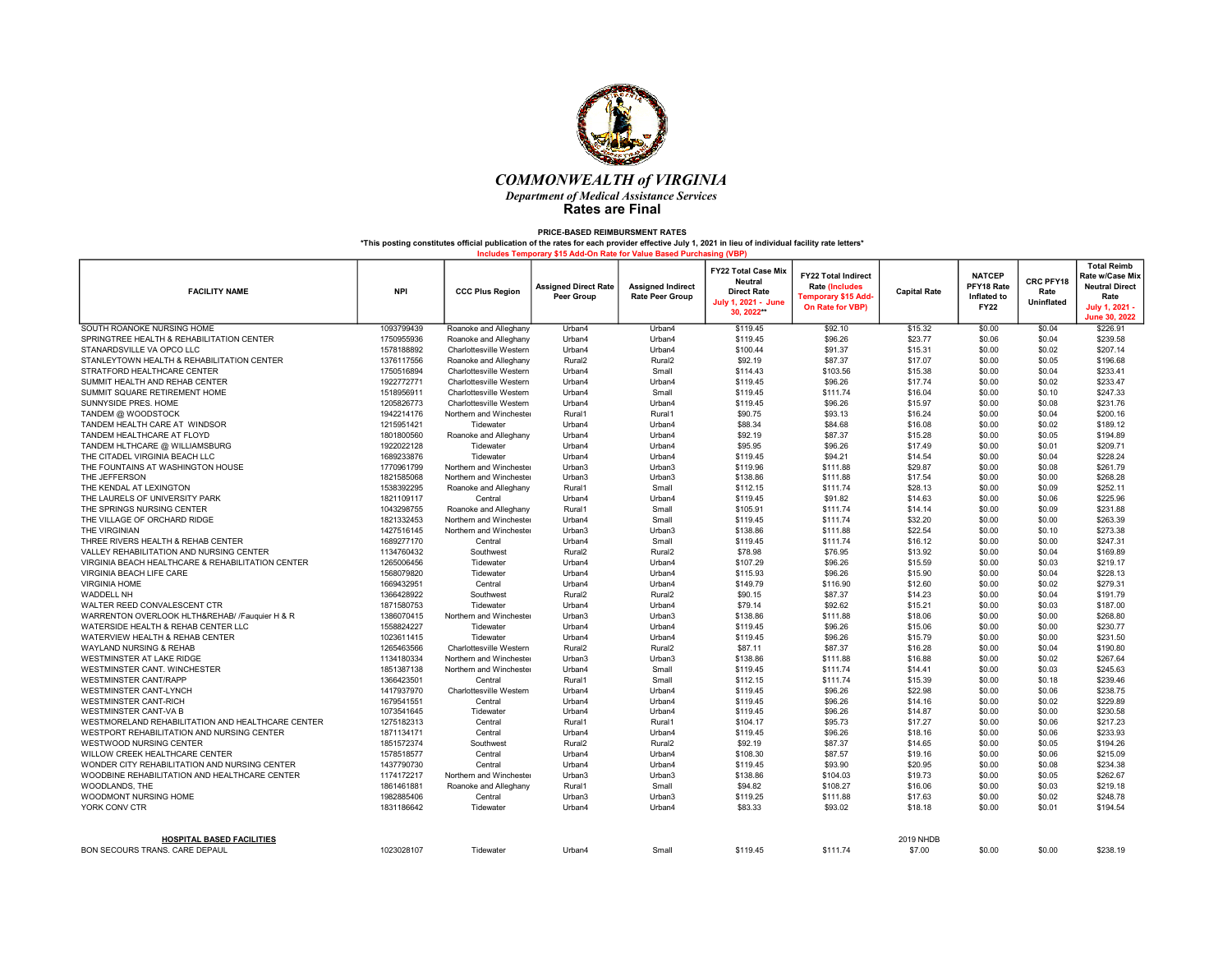

| <b>FACILITY NAME</b>                                               | <b>NPI</b> | <b>CCC Plus Region</b>  | <b>Assigned Direct Rate</b><br>Peer Group | <b>Assigned Indirect</b><br><b>Rate Peer Group</b> | <b>FY22 Total Case Mix</b><br><b>Neutral</b><br><b>Direct Rate</b><br>July 1, 2021 - June<br>30.2022** | <b>FY22 Total Indirect</b><br><b>Rate (Includes</b><br>Temporary \$15 Add-<br>On Rate for VBP) | <b>Capital Rate</b>        | <b>NATCEP</b><br>PFY18 Rate<br>Inflated to<br><b>FY22</b> | CRC PFY18<br>Rate<br>Uninflated | <b>Total Reimb</b><br>Rate w/Case Mix<br><b>Neutral Direct</b><br>Rate<br><b>July 1, 2021</b><br>June 30, 2022 |
|--------------------------------------------------------------------|------------|-------------------------|-------------------------------------------|----------------------------------------------------|--------------------------------------------------------------------------------------------------------|------------------------------------------------------------------------------------------------|----------------------------|-----------------------------------------------------------|---------------------------------|----------------------------------------------------------------------------------------------------------------|
| SOUTH ROANOKE NURSING HOME                                         | 1093799439 | Roanoke and Alleghany   | Urban4                                    | Urban4                                             | \$119.45                                                                                               | \$92.10                                                                                        | \$15.32                    | \$0.00                                                    | \$0.04                          | \$226.91                                                                                                       |
| SPRINGTREE HEALTH & REHABILITATION CENTER                          | 1750955936 | Roanoke and Alleghany   | Urban4                                    | Urban4                                             | \$119.45                                                                                               | \$96.26                                                                                        | \$23.77                    | \$0.06                                                    | \$0.04                          | \$239.58                                                                                                       |
| STANARDSVILLE VA OPCO LLC                                          | 1578188892 | Charlottesville Western | Urban4                                    | Urban4                                             | \$100.44                                                                                               | \$91.37                                                                                        | \$15.31                    | \$0.00                                                    | \$0.02                          | \$207.14                                                                                                       |
| STANLEYTOWN HEALTH & REHABILITATION CENTER                         | 1376117556 | Roanoke and Alleghany   | Rural <sub>2</sub>                        | Rural <sub>2</sub>                                 | \$92.19                                                                                                | \$87.37                                                                                        | \$17.07                    | \$0.00                                                    | \$0.05                          | \$196.68                                                                                                       |
| STRATFORD HEALTHCARE CENTER                                        | 1750516894 | Charlottesville Western | Urban4                                    | Small                                              | \$114.43                                                                                               | \$103.56                                                                                       | \$15.38                    | \$0.00                                                    | \$0.04                          | \$233.41                                                                                                       |
| SUMMIT HEALTH AND REHAB CENTER                                     | 1922772771 | Charlottesville Western | Urban4                                    | Urban4                                             | \$119.45                                                                                               | \$96.26                                                                                        | \$17.74                    | \$0.00                                                    | \$0.02                          | \$233.47                                                                                                       |
| SUMMIT SQUARE RETIREMENT HOME                                      | 1518956911 | Charlottesville Western | Urban4                                    | Small                                              | \$119.45                                                                                               | \$111.74                                                                                       | \$16.04                    | \$0.00                                                    | \$0.10                          | \$247.33                                                                                                       |
| SUNNYSIDE PRES. HOME                                               | 1205826773 | Charlottesville Western | Urban4                                    | Urban4                                             | \$119.45                                                                                               | \$96.26                                                                                        | \$15.97                    | \$0.00                                                    | \$0.08                          | \$231.76                                                                                                       |
| TANDEM @ WOODSTOCK                                                 | 1942214176 | Northern and Winchester | Rural1                                    | Rural1                                             | \$90.75                                                                                                | \$93.13                                                                                        | \$16.24                    | \$0.00                                                    | \$0.04                          | \$200.16                                                                                                       |
| TANDEM HEALTH CARE AT WINDSOR                                      | 1215951421 | Tidewater               | Urban4                                    | Urban4                                             | \$88.34                                                                                                | \$84.68                                                                                        | \$16.08                    | \$0.00                                                    | \$0.02                          | \$189.12                                                                                                       |
| TANDEM HEALTHCARE AT FLOYD                                         | 1801800560 | Roanoke and Alleghany   | Urban4                                    | Urban4                                             | \$92.19                                                                                                | \$87.37                                                                                        | \$15.28                    | \$0.00                                                    | \$0.05                          | \$194.89                                                                                                       |
| TANDEM HLTHCARE @ WILLIAMSBURG                                     | 1922022128 | Tidewater               | Urban4                                    | Urban4                                             | \$95.95                                                                                                | \$96.26                                                                                        | \$17.49                    | \$0.00                                                    | \$0.01                          | \$209.71                                                                                                       |
| THE CITADEL VIRGINIA BEACH LLC                                     | 1689233876 | Tidewater               | Urban4                                    | Urban4                                             | \$119.45                                                                                               | \$94.21                                                                                        | \$14.54                    | \$0.00                                                    | \$0.04                          | \$228.24                                                                                                       |
| THE FOUNTAINS AT WASHINGTON HOUSE                                  | 1770961799 | Northern and Winchester | Urban3                                    | Urban3                                             | \$119.96                                                                                               | \$111.88                                                                                       | \$29.87                    | \$0.00                                                    | \$0.08                          | \$261.79                                                                                                       |
| THE JEFFERSON                                                      | 1821585068 | Northern and Winchester | Urban3                                    | Urban3                                             | \$138.86                                                                                               | \$111.88                                                                                       | \$17.54                    | \$0.00                                                    | \$0.00                          | \$268.28                                                                                                       |
| THE KENDAL AT LEXINGTON                                            | 1538392295 | Roanoke and Alleghany   | Rural1                                    | Small                                              | \$112.15                                                                                               | \$111.74                                                                                       | \$28.13                    | \$0.00                                                    | \$0.09                          | \$252.11                                                                                                       |
| THE LAURELS OF UNIVERSITY PARK                                     | 1821109117 | Central                 | Urban4                                    | Urban4                                             | \$119.45                                                                                               | \$91.82                                                                                        | \$14.63                    | \$0.00                                                    | \$0.06                          | \$225.96                                                                                                       |
| THE SPRINGS NURSING CENTER                                         | 1043298755 | Roanoke and Alleghany   | Rural1                                    | Small                                              | \$105.91                                                                                               | \$111.74                                                                                       | \$14.14                    | \$0.00                                                    | \$0.09                          | \$231.88                                                                                                       |
| THE VILLAGE OF ORCHARD RIDGE                                       | 1821332453 | Northern and Winchester | Urban4                                    | Small                                              | \$119.45                                                                                               | \$111.74                                                                                       | \$32.20                    | \$0.00                                                    | \$0.00                          | \$263.39                                                                                                       |
| THE VIRGINIAN                                                      | 1427516145 | Northern and Winchester | Urban3                                    | Urban3                                             | \$138.86                                                                                               | \$111.88                                                                                       | \$22.54                    | \$0.00                                                    | \$0.10                          | \$273.38                                                                                                       |
| THREE RIVERS HEALTH & REHAB CENTER                                 | 1689277170 | Central                 | Urban4                                    | Small                                              | \$119.45                                                                                               | \$111.74                                                                                       | \$16.12                    | \$0.00                                                    | \$0.00                          | \$247.31                                                                                                       |
| VALLEY REHABILITATION AND NURSING CENTER                           | 1134760432 | Southwest               | Rural <sub>2</sub>                        | Rural <sub>2</sub>                                 | \$78.98                                                                                                | \$76.95                                                                                        | \$13.92                    | \$0.00                                                    | \$0.04                          | \$169.89                                                                                                       |
| VIRGINIA BEACH HEALTHCARE & REHABILITATION CENTER                  | 1265006456 | Tidewater               | Urban4                                    | Urban4                                             | \$107.29                                                                                               | \$96.26                                                                                        | \$15.59                    | \$0.00                                                    | \$0.03                          | \$219.17                                                                                                       |
| VIRGINIA BEACH LIFE CARE                                           | 1568079820 | Tidewater               | Urban4                                    | Urban4                                             | \$115.93                                                                                               | \$96.26                                                                                        | \$15.90                    | \$0.00                                                    | \$0.04                          | \$228.13                                                                                                       |
| <b>VIRGINIA HOME</b>                                               | 1669432951 | Central                 | Urban4                                    | Urban4                                             | \$149.79                                                                                               | \$116.90                                                                                       | \$12.60                    | \$0.00                                                    | \$0.02                          | \$279.31                                                                                                       |
| <b>WADDELL NH</b>                                                  | 1366428922 | Southwest               | Rural <sub>2</sub>                        | Rural <sub>2</sub>                                 | \$90.15                                                                                                | \$87.37                                                                                        | \$14.23                    | \$0.00                                                    | \$0.04                          | \$191.79                                                                                                       |
| WALTER REED CONVALESCENT CTR                                       | 1871580753 | Tidewater               | Urban4                                    | Urban4                                             | \$79.14                                                                                                | \$92.62                                                                                        | \$15.21                    | \$0.00                                                    | \$0.03                          | \$187.00                                                                                                       |
| WARRENTON OVERLOOK HLTH&REHAB/ /Fauquier H & R                     | 1386070415 | Northern and Winchester | Urban3                                    | Urban3                                             | \$138.86                                                                                               | \$111.88                                                                                       | \$18.06                    | \$0.00                                                    | \$0.00                          | \$268.80                                                                                                       |
| WATERSIDE HEALTH & REHAB CENTER LLC                                | 1558824227 | Tidewater               | Urban4                                    | Urban4                                             | \$119.45                                                                                               | \$96.26                                                                                        | \$15.06                    | \$0.00                                                    | \$0.00                          | \$230.77                                                                                                       |
| WATERVIEW HEALTH & REHAB CENTER                                    | 1023611415 | Tidewater               | Urban4                                    | Urban4                                             | \$119.45                                                                                               | \$96.26                                                                                        | \$15.79                    | \$0.00                                                    | \$0.00                          | \$231.50                                                                                                       |
| WAYLAND NURSING & REHAB                                            | 1265463566 | Charlottesville Western | Rural <sub>2</sub>                        | Rural <sub>2</sub>                                 | \$87.11                                                                                                | \$87.37                                                                                        | \$16.28                    | \$0.00                                                    | \$0.04                          | \$190.80                                                                                                       |
| WESTMINSTER AT LAKE RIDGE                                          | 1134180334 | Northern and Winchester | Urban3                                    | Urban3                                             | \$138.86                                                                                               | \$111.88                                                                                       | \$16.88                    | \$0.00                                                    | \$0.02                          | \$267.64                                                                                                       |
| WESTMINSTER CANT. WINCHESTER                                       | 1851387138 | Northern and Winchester | Urban4                                    | Small                                              | \$119.45                                                                                               | \$111.74                                                                                       | \$14.41                    | \$0.00                                                    | \$0.03                          | \$245.63                                                                                                       |
| <b>WESTMINSTER CANT/RAPP</b>                                       | 1366423501 | Central                 | Rural1                                    | Small                                              | \$112.15                                                                                               | \$111.74                                                                                       | \$15.39                    | \$0.00                                                    | \$0.18                          | \$239.46                                                                                                       |
| WESTMINSTER CANT-LYNCH                                             | 1417937970 | Charlottesville Western | Urban4                                    | Urban4                                             | \$119.45                                                                                               | \$96.26                                                                                        | \$22.98                    | \$0.00                                                    | \$0.06                          | \$238.75                                                                                                       |
| <b>WESTMINSTER CANT-RICH</b>                                       | 1679541551 | Central                 | Urban4                                    | Urban4                                             | \$119.45                                                                                               | \$96.26                                                                                        | \$14.16                    | \$0.00                                                    | \$0.02                          | \$229.89                                                                                                       |
| <b>WESTMINSTER CANT-VA B</b>                                       | 1073541645 | Tidewater               | Urban4                                    | Urban4                                             | \$119.45                                                                                               | \$96.26                                                                                        | \$14.87                    | \$0.00                                                    | \$0.00                          | \$230.58                                                                                                       |
| WESTMORELAND REHABILITATION AND HEALTHCARE CENTER                  | 1275182313 | Central                 | Rural1                                    | Rural1                                             | \$104.17                                                                                               | \$95.73                                                                                        | \$17.27                    | \$0.00                                                    | \$0.06                          | \$217.23                                                                                                       |
| WESTPORT REHABILITATION AND NURSING CENTER                         | 1871134171 | Central                 | Urban4                                    | Urban4                                             | \$119.45                                                                                               | \$96.26                                                                                        | \$18.16                    | \$0.00                                                    | \$0.06                          | \$233.93                                                                                                       |
| WESTWOOD NURSING CENTER                                            | 1851572374 | Southwest               | Rural <sub>2</sub>                        | Rural <sub>2</sub>                                 | \$92.19                                                                                                | \$87.37                                                                                        | \$14.65                    | \$0.00                                                    | \$0.05                          | \$194.26                                                                                                       |
| WILLOW CREEK HEALTHCARE CENTER                                     | 1578518577 | Central                 | Urban4                                    | Urban4                                             | \$108.30                                                                                               | \$87.57                                                                                        | \$19.16                    | \$0.00                                                    | \$0.06                          | \$215.09                                                                                                       |
| WONDER CITY REHABILITATION AND NURSING CENTER                      | 1437790730 | Central                 | Urban4                                    | Urban4                                             | \$119.45                                                                                               | \$93.90                                                                                        | \$20.95                    | \$0.00                                                    | \$0.08                          | \$234.38                                                                                                       |
| WOODBINE REHABILITATION AND HEALTHCARE CENTER                      | 1174172217 | Northern and Winchester | Urban3                                    | Urban3                                             | \$138.86                                                                                               | \$104.03                                                                                       | \$19.73                    | \$0.00                                                    | \$0.05                          | \$262.67                                                                                                       |
| WOODLANDS, THE                                                     | 1861461881 | Roanoke and Alleghany   | Rural1                                    | Small                                              | \$94.82                                                                                                | \$108.27                                                                                       | \$16.06                    | \$0.00                                                    | \$0.03                          | \$219.18                                                                                                       |
| WOODMONT NURSING HOME                                              | 1982885406 | Central                 | Urban3                                    | Urban3                                             | \$119.25                                                                                               | \$111.88                                                                                       | \$17.63                    | \$0.00                                                    | \$0.02                          | \$248.78                                                                                                       |
| YORK CONV CTR                                                      | 1831186642 | Tidewater               | Urban4                                    | Urban4                                             | \$83.33                                                                                                | \$93.02                                                                                        | \$18.18                    | \$0.00                                                    | \$0.01                          | \$194.54                                                                                                       |
|                                                                    |            |                         |                                           |                                                    |                                                                                                        |                                                                                                |                            |                                                           |                                 |                                                                                                                |
| <b>HOSPITAL BASED FACILITIES</b><br>BON SECOURS TRANS. CARE DEPAUL | 1023028107 | Tidewater               | Urban4                                    | Small                                              | \$119.45                                                                                               | \$111.74                                                                                       | <b>2019 NHDB</b><br>\$7.00 | \$0.00                                                    | \$0.00                          | \$238.19                                                                                                       |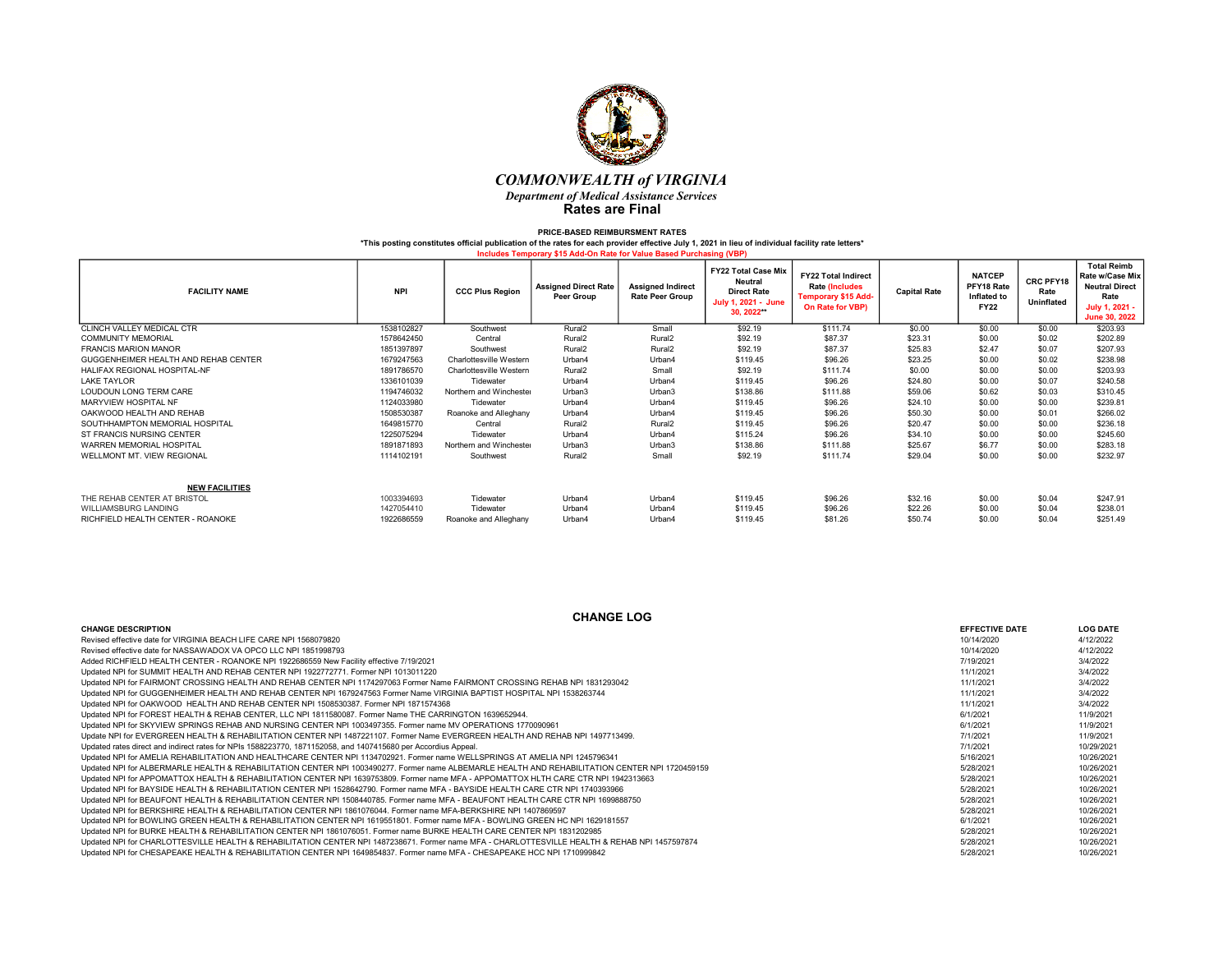

| <b>FACILITY NAME</b>                 | <b>NPI</b> | <b>CCC Plus Region</b>  | <b>Assigned Direct Rate</b><br><b>Peer Group</b> | <b>Assigned Indirect</b><br><b>Rate Peer Group</b> | <b>FY22 Total Case Mix</b><br><b>Neutral</b><br><b>Direct Rate</b><br>July 1, 2021 - June<br>30, 2022** | <b>FY22 Total Indirect</b><br><b>Rate (Includes</b><br><b>Temporary \$15 Add-</b><br>On Rate for VBP) | <b>Capital Rate</b> | <b>NATCEP</b><br>PFY18 Rate<br>Inflated to<br><b>FY22</b> | CRC PFY18<br>Rate<br><b>Uninflated</b> | <b>Total Reimb</b><br>Rate w/Case Mix<br><b>Neutral Direct</b><br>Rate<br>July 1, 2021 -<br>June 30, 2022 |
|--------------------------------------|------------|-------------------------|--------------------------------------------------|----------------------------------------------------|---------------------------------------------------------------------------------------------------------|-------------------------------------------------------------------------------------------------------|---------------------|-----------------------------------------------------------|----------------------------------------|-----------------------------------------------------------------------------------------------------------|
| CLINCH VALLEY MEDICAL CTR            | 1538102827 | Southwest               | Rural <sub>2</sub>                               | Small                                              | \$92.19                                                                                                 | \$111.74                                                                                              | \$0.00              | \$0.00                                                    | \$0.00                                 | \$203.93                                                                                                  |
| <b>COMMUNITY MEMORIAL</b>            | 1578642450 | Central                 | Rural <sub>2</sub>                               | Rural <sub>2</sub>                                 | \$92.19                                                                                                 | \$87.37                                                                                               | \$23.31             | \$0.00                                                    | \$0.02                                 | \$202.89                                                                                                  |
| <b>FRANCIS MARION MANOR</b>          | 1851397897 | Southwest               | Rural <sub>2</sub>                               | Rural <sub>2</sub>                                 | \$92.19                                                                                                 | \$87.37                                                                                               | \$25.83             | \$2.47                                                    | \$0.07                                 | \$207.93                                                                                                  |
| GUGGENHEIMER HEALTH AND REHAB CENTER | 1679247563 | Charlottesville Western | Urban4                                           | Urban4                                             | \$119.45                                                                                                | \$96.26                                                                                               | \$23.25             | \$0.00                                                    | \$0.02                                 | \$238.98                                                                                                  |
| HALIFAX REGIONAL HOSPITAL-NF         | 1891786570 | Charlottesville Western | Rural <sub>2</sub>                               | Small                                              | \$92.19                                                                                                 | \$111.74                                                                                              | \$0.00              | \$0.00                                                    | \$0.00                                 | \$203.93                                                                                                  |
| <b>LAKE TAYLOR</b>                   | 1336101039 | Tidewater               | Urban4                                           | Urban4                                             | \$119.45                                                                                                | \$96.26                                                                                               | \$24.80             | \$0.00                                                    | \$0.07                                 | \$240.58                                                                                                  |
| LOUDOUN LONG TERM CARE               | 1194746032 | Northern and Winchester | Urban3                                           | Urban3                                             | \$138.86                                                                                                | \$111.88                                                                                              | \$59.06             | \$0.62                                                    | \$0.03                                 | \$310.45                                                                                                  |
| MARYVIEW HOSPITAL NF                 | 1124033980 | Tidewater               | Urban4                                           | Urban4                                             | \$119.45                                                                                                | \$96.26                                                                                               | \$24.10             | \$0.00                                                    | \$0.00                                 | \$239.81                                                                                                  |
| OAKWOOD HEALTH AND REHAB             | 1508530387 | Roanoke and Alleghany   | Urban4                                           | Urban4                                             | \$119.45                                                                                                | \$96.26                                                                                               | \$50.30             | \$0.00                                                    | \$0.01                                 | \$266.02                                                                                                  |
| SOUTHHAMPTON MEMORIAL HOSPITAL       | 1649815770 | Central                 | Rural <sub>2</sub>                               | Rural <sub>2</sub>                                 | \$119.45                                                                                                | \$96.26                                                                                               | \$20.47             | \$0.00                                                    | \$0.00                                 | \$236.18                                                                                                  |
| ST FRANCIS NURSING CENTER            | 1225075294 | Tidewater               | Urban4                                           | Urban4                                             | \$115.24                                                                                                | \$96.26                                                                                               | \$34.10             | \$0.00                                                    | \$0.00                                 | \$245.60                                                                                                  |
| WARREN MEMORIAL HOSPITAL             | 1891871893 | Northern and Winchester | Urban3                                           | Urban3                                             | \$138.86                                                                                                | \$111.88                                                                                              | \$25.67             | \$6.77                                                    | \$0.00                                 | \$283.18                                                                                                  |
| WELLMONT MT. VIEW REGIONAL           | 1114102191 | Southwest               | Rural <sub>2</sub>                               | Small                                              | \$92.19                                                                                                 | \$111.74                                                                                              | \$29.04             | \$0.00                                                    | \$0.00                                 | \$232.97                                                                                                  |
| <b>NEW FACILITIES</b>                |            |                         |                                                  |                                                    |                                                                                                         |                                                                                                       |                     |                                                           |                                        |                                                                                                           |
| THE REHAB CENTER AT BRISTOL          | 1003394693 | Tidewater               | Urban4                                           | Urban4                                             | \$119.45                                                                                                | \$96.26                                                                                               | \$32.16             | \$0.00                                                    | \$0.04                                 | \$247.91                                                                                                  |
| WILLIAMSBURG LANDING                 | 1427054410 | Tidewater               | Urban4                                           | Urban4                                             | \$119.45                                                                                                | \$96.26                                                                                               | \$22.26             | \$0.00                                                    | \$0.04                                 | \$238.01                                                                                                  |
| RICHFIELD HEALTH CENTER - ROANOKE    | 1922686559 | Roanoke and Alleghany   | Urban4                                           | Urban4                                             | \$119.45                                                                                                | \$81.26                                                                                               | \$50.74             | \$0.00                                                    | \$0.04                                 | \$251.49                                                                                                  |

| <b>CHANGE LOG</b>                                                                                                                               |                       |                 |  |  |  |  |  |  |  |
|-------------------------------------------------------------------------------------------------------------------------------------------------|-----------------------|-----------------|--|--|--|--|--|--|--|
| <b>CHANGE DESCRIPTION</b>                                                                                                                       | <b>EFFECTIVE DATE</b> | <b>LOG DATE</b> |  |  |  |  |  |  |  |
| Revised effective date for VIRGINIA BEACH LIFE CARE NPI 1568079820                                                                              | 10/14/2020            | 4/12/2022       |  |  |  |  |  |  |  |
| Revised effective date for NASSAWADOX VA OPCO LLC NPI 1851998793                                                                                | 10/14/2020            | 4/12/2022       |  |  |  |  |  |  |  |
| Added RICHFIELD HEALTH CENTER - ROANOKE NPI 1922686559 New Facility effective 7/19/2021                                                         | 7/19/2021             | 3/4/2022        |  |  |  |  |  |  |  |
| Updated NPI for SUMMIT HEALTH AND REHAB CENTER NPI 1922772771. Former NPI 1013011220                                                            | 11/1/2021             | 3/4/2022        |  |  |  |  |  |  |  |
| Updated NPI for FAIRMONT CROSSING HEALTH AND REHAB CENTER NPI 1174297063 Former Name FAIRMONT CROSSING REHAB NPI 1831293042                     | 11/1/2021             | 3/4/2022        |  |  |  |  |  |  |  |
| Updated NPI for GUGGENHEIMER HEALTH AND REHAB CENTER NPI 1679247563 Former Name VIRGINIA BAPTIST HOSPITAL NPI 1538263744                        | 11/1/2021             | 3/4/2022        |  |  |  |  |  |  |  |
| Updated NPI for OAKWOOD HEALTH AND REHAB CENTER NPI 1508530387. Former NPI 1871574368                                                           | 11/1/2021             | 3/4/2022        |  |  |  |  |  |  |  |
| Updated NPI for FOREST HEALTH & REHAB CENTER, LLC NPI 1811580087, Former Name THE CARRINGTON 1639652944.                                        | 6/1/2021              | 11/9/2021       |  |  |  |  |  |  |  |
| Updated NPI for SKYVIEW SPRINGS REHAB AND NURSING CENTER NPI 1003497355. Former name MV OPERATIONS 1770090961                                   | 6/1/2021              | 11/9/2021       |  |  |  |  |  |  |  |
| Update NPI for EVERGREEN HEALTH & REHABILITATION CENTER NPI 1487221107. Former Name EVERGREEN HEALTH AND REHAB NPI 1497713499.                  | 7/1/2021              | 11/9/2021       |  |  |  |  |  |  |  |
| Updated rates direct and indirect rates for NPIs 1588223770, 1871152058, and 1407415680 per Accordius Appeal.                                   | 7/1/2021              | 10/29/2021      |  |  |  |  |  |  |  |
| Updated NPI for AMELIA REHABILITATION AND HEALTHCARE CENTER NPI 1134702921. Former name WELLSPRINGS AT AMELIA NPI 1245796341                    | 5/16/2021             | 10/26/2021      |  |  |  |  |  |  |  |
| Updated NPI for ALBERMARLE HEALTH & REHABILITATION CENTER NPI 1003490277. Former name ALBEMARLE HEALTH AND REHABILITATION CENTER NPI 1720459159 | 5/28/2021             | 10/26/2021      |  |  |  |  |  |  |  |
| Updated NPI for APPOMATTOX HEALTH & REHABILITATION CENTER NPI 1639753809. Former name MFA - APPOMATTOX HLTH CARE CTR NPI 1942313663             | 5/28/2021             | 10/26/2021      |  |  |  |  |  |  |  |
| Updated NPI for BAYSIDE HEALTH & REHABILITATION CENTER NPI 1528642790. Former name MFA - BAYSIDE HEALTH CARE CTR NPI 1740393966                 | 5/28/2021             | 10/26/2021      |  |  |  |  |  |  |  |
| Updated NPI for BEAUFONT HEALTH & REHABILITATION CENTER NPI 1508440785. Former name MFA - BEAUFONT HEALTH CARE CTR NPI 1699888750               | 5/28/2021             | 10/26/2021      |  |  |  |  |  |  |  |
| Updated NPI for BERKSHIRE HEALTH & REHABILITATION CENTER NPI 1861076044. Former name MFA-BERKSHIRE NPI 1407869597                               | 5/28/2021             | 10/26/2021      |  |  |  |  |  |  |  |
| Updated NPI for BOWLING GREEN HEALTH & REHABILITATION CENTER NPI 1619551801. Former name MFA - BOWLING GREEN HC NPI 1629181557                  | 6/1/2021              | 10/26/2021      |  |  |  |  |  |  |  |
| Updated NPI for BURKE HEALTH & REHABILITATION CENTER NPI 1861076051. Former name BURKE HEALTH CARE CENTER NPI 1831202985                        | 5/28/2021             | 10/26/2021      |  |  |  |  |  |  |  |
| Updated NPI for CHARLOTTESVILLE HEALTH & REHABILITATION CENTER NPI 1487238671. Former name MFA - CHARLOTTESVILLE HEALTH & REHAB NPI 1457597874  | 5/28/2021             | 10/26/2021      |  |  |  |  |  |  |  |
| Updated NPI for CHESAPEAKE HEALTH & REHABILITATION CENTER NPI 1649854837. Former name MFA - CHESAPEAKE HCC NPI 1710999842                       | 5/28/2021             | 10/26/2021      |  |  |  |  |  |  |  |